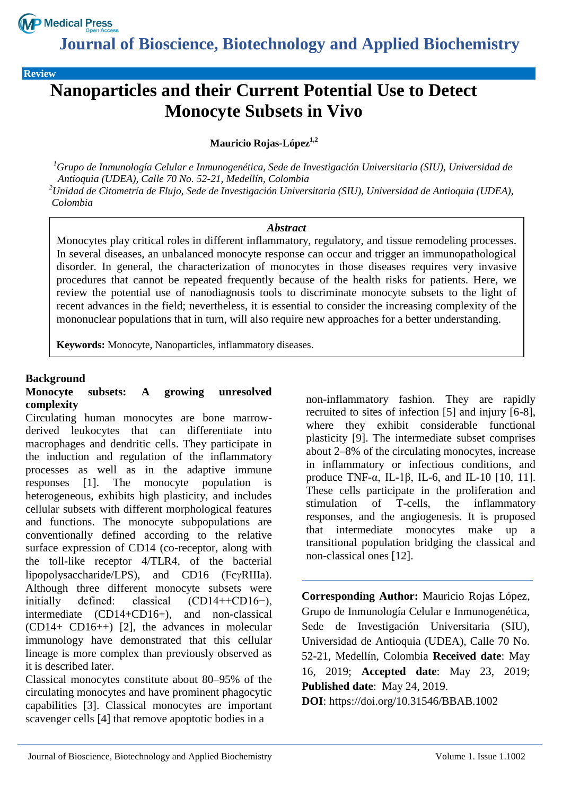

**Journal of Bioscience, Biotechnology and Applied Biochemistry**

**Review**

# **Nanoparticles and their Current Potential Use to Detect Monocyte Subsets in Vivo**

**Mauricio Rojas-López1,2**

*<sup>1</sup>Grupo de Inmunología Celular e Inmunogenética, Sede de Investigación Universitaria (SIU), Universidad de Antioquia (UDEA), Calle 70 No. 52-21, Medellín, Colombia <sup>2</sup>Unidad de Citometría de Flujo, Sede de Investigación Universitaria (SIU), Universidad de Antioquia (UDEA), Colombia*

#### *Abstract*

Monocytes play critical roles in different inflammatory, regulatory, and tissue remodeling processes. In several diseases, an unbalanced monocyte response can occur and trigger an immunopathological disorder. In general, the characterization of monocytes in those diseases requires very invasive procedures that cannot be repeated frequently because of the health risks for patients. Here, we review the potential use of nanodiagnosis tools to discriminate monocyte subsets to the light of recent advances in the field; nevertheless, it is essential to consider the increasing complexity of the mononuclear populations that in turn, will also require new approaches for a better understanding.

**Keywords:** Monocyte, Nanoparticles, inflammatory diseases.

#### **Background**

#### **Monocyte subsets: A growing unresolved complexity**

Circulating human monocytes are bone marrowderived leukocytes that can differentiate into macrophages and dendritic cells. They participate in the induction and regulation of the inflammatory processes as well as in the adaptive immune responses [1]. The monocyte population is heterogeneous, exhibits high plasticity, and includes cellular subsets with different morphological features and functions. The monocyte subpopulations are conventionally defined according to the relative surface expression of CD14 (co-receptor, along with the toll-like receptor 4/TLR4, of the bacterial lipopolysaccharide/LPS), and  $CD16$  (Fc $\gamma$ RIIIa). Although three different monocyte subsets were initially defined: classical (CD14++CD16−), intermediate (CD14+CD16+), and non-classical (CD14+ CD16++) [2], the advances in molecular immunology have demonstrated that this cellular lineage is more complex than previously observed as it is described later.

Classical monocytes constitute about 80–95% of the circulating monocytes and have prominent phagocytic capabilities [3]. Classical monocytes are important scavenger cells [4] that remove apoptotic bodies in a

non-inflammatory fashion. They are rapidly recruited to sites of infection [5] and injury [6-8], where they exhibit considerable functional plasticity [9]. The intermediate subset comprises about 2–8% of the circulating monocytes, increase in inflammatory or infectious conditions, and produce TNF- $\alpha$ , IL-1 $\beta$ , IL-6, and IL-10 [10, 11]. These cells participate in the proliferation and stimulation of T-cells, the inflammatory responses, and the angiogenesis. It is proposed that intermediate monocytes make up a transitional population bridging the classical and non-classical ones [12].

**Corresponding Author:** Mauricio Rojas López, Grupo de Inmunología Celular e Inmunogenética, Sede de Investigación Universitaria (SIU), Universidad de Antioquia (UDEA), Calle 70 No. 52-21, Medellín, Colombia **Received date**: May 16, 2019; **Accepted date**: May 23, 2019; **Published date**: May 24, 2019.

**DOI**: https://doi.org/10.31546/BBAB.1002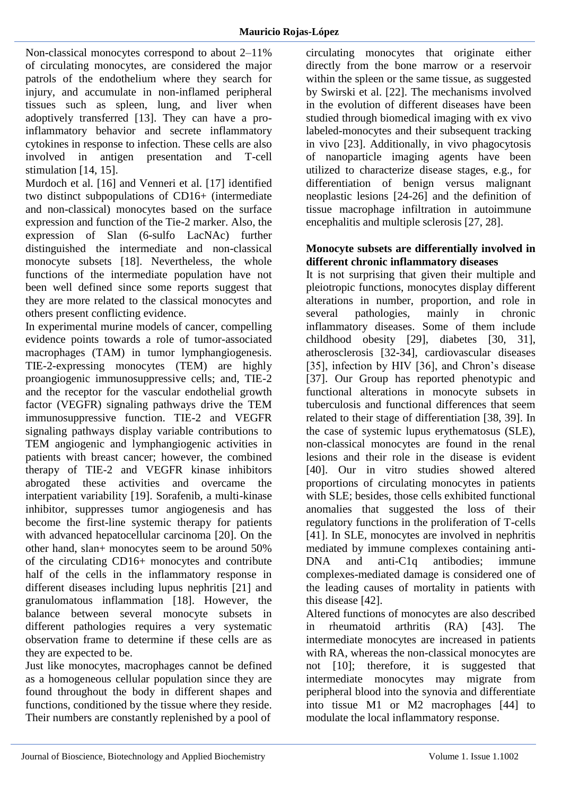Non-classical monocytes correspond to about 2–11% of circulating monocytes, are considered the major patrols of the endothelium where they search for injury, and accumulate in non-inflamed peripheral tissues such as spleen, lung, and liver when adoptively transferred [13]. They can have a proinflammatory behavior and secrete inflammatory cytokines in response to infection. These cells are also involved in antigen presentation and T-cell stimulation [14, 15].

Murdoch et al. [16] and Venneri et al. [17] identified two distinct subpopulations of CD16+ (intermediate and non-classical) monocytes based on the surface expression and function of the Tie-2 marker. Also, the expression of Slan (6-sulfo LacNAc) further distinguished the intermediate and non-classical monocyte subsets [18]. Nevertheless, the whole functions of the intermediate population have not been well defined since some reports suggest that they are more related to the classical monocytes and others present conflicting evidence.

In experimental murine models of cancer, compelling evidence points towards a role of tumor-associated macrophages (TAM) in tumor lymphangiogenesis. TIE-2-expressing monocytes (TEM) are highly proangiogenic immunosuppressive cells; and, TIE-2 and the receptor for the vascular endothelial growth factor (VEGFR) signaling pathways drive the TEM immunosuppressive function. TIE-2 and VEGFR signaling pathways display variable contributions to TEM angiogenic and lymphangiogenic activities in patients with breast cancer; however, the combined therapy of TIE-2 and VEGFR kinase inhibitors abrogated these activities and overcame the interpatient variability [19]. Sorafenib, a multi-kinase inhibitor, suppresses tumor angiogenesis and has become the first-line systemic therapy for patients with advanced hepatocellular carcinoma [20]. On the other hand, slan+ monocytes seem to be around 50% of the circulating CD16+ monocytes and contribute half of the cells in the inflammatory response in different diseases including lupus nephritis [21] and granulomatous inflammation [18]. However, the balance between several monocyte subsets in different pathologies requires a very systematic observation frame to determine if these cells are as they are expected to be.

Just like monocytes, macrophages cannot be defined as a homogeneous cellular population since they are found throughout the body in different shapes and functions, conditioned by the tissue where they reside. Their numbers are constantly replenished by a pool of

circulating monocytes that originate either directly from the bone marrow or a reservoir within the spleen or the same tissue, as suggested by Swirski et al. [22]. The mechanisms involved in the evolution of different diseases have been studied through biomedical imaging with ex vivo labeled-monocytes and their subsequent tracking in vivo [23]. Additionally, in vivo phagocytosis of nanoparticle imaging agents have been utilized to characterize disease stages, e.g., for differentiation of benign versus malignant neoplastic lesions [24-26] and the definition of tissue macrophage infiltration in autoimmune encephalitis and multiple sclerosis [27, 28].

#### **Monocyte subsets are differentially involved in different chronic inflammatory diseases**

It is not surprising that given their multiple and pleiotropic functions, monocytes display different alterations in number, proportion, and role in several pathologies, mainly in chronic inflammatory diseases. Some of them include childhood obesity [29], diabetes [30, 31], atherosclerosis [32-34], cardiovascular diseases [35], infection by HIV [36], and Chron's disease [37]. Our Group has reported phenotypic and functional alterations in monocyte subsets in tuberculosis and functional differences that seem related to their stage of differentiation [38, 39]. In the case of systemic lupus erythematosus (SLE), non-classical monocytes are found in the renal lesions and their role in the disease is evident [40]. Our in vitro studies showed altered proportions of circulating monocytes in patients with SLE; besides, those cells exhibited functional anomalies that suggested the loss of their regulatory functions in the proliferation of T-cells [41]. In SLE, monocytes are involved in nephritis mediated by immune complexes containing anti-DNA and anti-C1q antibodies; immune complexes-mediated damage is considered one of the leading causes of mortality in patients with this disease [42].

Altered functions of monocytes are also described in rheumatoid arthritis (RA) [43]. The intermediate monocytes are increased in patients with RA, whereas the non-classical monocytes are not [10]; therefore, it is suggested that intermediate monocytes may migrate from peripheral blood into the synovia and differentiate into tissue M1 or M2 macrophages [44] to modulate the local inflammatory response.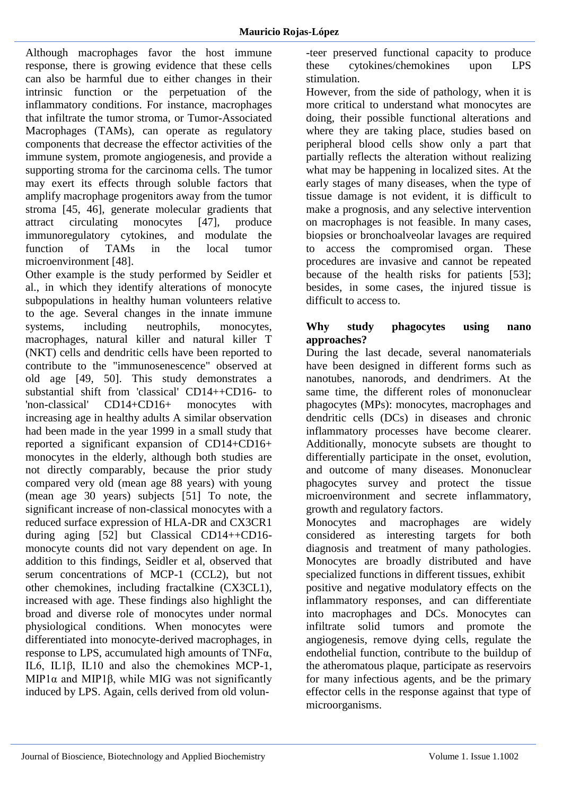Although macrophages favor the host immune response, there is growing evidence that these cells can also be harmful due to either changes in their intrinsic function or the perpetuation of the inflammatory conditions. For instance, macrophages that infiltrate the tumor stroma, or Tumor-Associated Macrophages (TAMs), can operate as regulatory components that decrease the effector activities of the immune system, promote angiogenesis, and provide a supporting stroma for the carcinoma cells. The tumor may exert its effects through soluble factors that amplify macrophage progenitors away from the tumor stroma [45, 46], generate molecular gradients that attract circulating monocytes [47], produce immunoregulatory cytokines, and modulate the<br>function of TAMs in the local tumor function of TAMs in the local tumor microenvironment [48].

Other example is the study performed by Seidler et al., in which they identify alterations of monocyte subpopulations in healthy human volunteers relative to the age. Several changes in the innate immune systems, including neutrophils, monocytes, macrophages, natural killer and natural killer T (NKT) cells and dendritic cells have been reported to contribute to the "immunosenescence" observed at old age [49, 50]. This study demonstrates a substantial shift from 'classical' CD14++CD16- to 'non-classical' CD14+CD16+ monocytes with increasing age in healthy adults A similar observation had been made in the year 1999 in a small study that reported a significant expansion of CD14+CD16+ monocytes in the elderly, although both studies are not directly comparably, because the prior study compared very old (mean age 88 years) with young (mean age 30 years) subjects [51] To note, the significant increase of non-classical monocytes with a reduced surface expression of HLA-DR and CX3CR1 during aging [52] but Classical CD14++CD16 monocyte counts did not vary dependent on age. In addition to this findings, Seidler et al, observed that serum concentrations of MCP-1 (CCL2), but not other chemokines, including fractalkine (CX3CL1), increased with age. These findings also highlight the broad and diverse role of monocytes under normal physiological conditions. When monocytes were differentiated into monocyte-derived macrophages, in response to LPS, accumulated high amounts of TNFα, IL6, IL1β, IL10 and also the chemokines MCP-1, MIP1 $\alpha$  and MIP1 $\beta$ , while MIG was not significantly induced by LPS. Again, cells derived from old volun-teer preserved functional capacity to produce these cytokines/chemokines upon LPS stimulation.

However, from the side of pathology, when it is more critical to understand what monocytes are doing, their possible functional alterations and where they are taking place, studies based on peripheral blood cells show only a part that partially reflects the alteration without realizing what may be happening in localized sites. At the early stages of many diseases, when the type of tissue damage is not evident, it is difficult to make a prognosis, and any selective intervention on macrophages is not feasible. In many cases, biopsies or bronchoalveolar lavages are required to access the compromised organ. These procedures are invasive and cannot be repeated because of the health risks for patients [53]; besides, in some cases, the injured tissue is difficult to access to.

## **Why study phagocytes using nano approaches?**

During the last decade, several nanomaterials have been designed in different forms such as nanotubes, nanorods, and dendrimers. At the same time, the different roles of mononuclear phagocytes (MPs): monocytes, macrophages and dendritic cells (DCs) in diseases and chronic inflammatory processes have become clearer. Additionally, monocyte subsets are thought to differentially participate in the onset, evolution, and outcome of many diseases. Mononuclear phagocytes survey and protect the tissue microenvironment and secrete inflammatory, growth and regulatory factors.

Monocytes and macrophages are widely considered as interesting targets for both diagnosis and treatment of many pathologies. Monocytes are broadly distributed and have specialized functions in different tissues, exhibit positive and negative modulatory effects on the inflammatory responses, and can differentiate into macrophages and DCs. Monocytes can infiltrate solid tumors and promote the angiogenesis, remove dying cells, regulate the endothelial function, contribute to the buildup of the atheromatous plaque, participate as reservoirs for many infectious agents, and be the primary effector cells in the response against that type of microorganisms.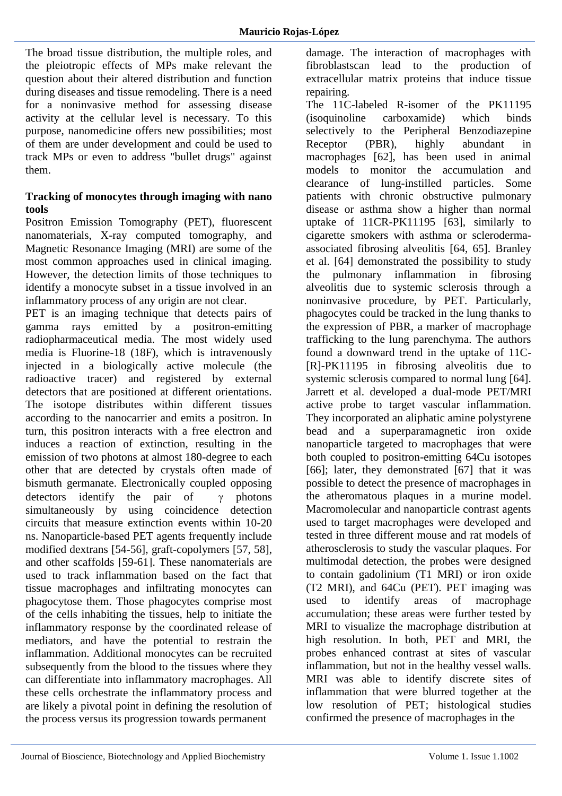The broad tissue distribution, the multiple roles, and the pleiotropic effects of MPs make relevant the question about their altered distribution and function during diseases and tissue remodeling. There is a need for a noninvasive method for assessing disease activity at the cellular level is necessary. To this purpose, nanomedicine offers new possibilities; most of them are under development and could be used to track MPs or even to address "bullet drugs" against them.

#### **Tracking of monocytes through imaging with nano tools**

Positron Emission Tomography (PET), fluorescent nanomaterials, X-ray computed tomography, and Magnetic Resonance Imaging (MRI) are some of the most common approaches used in clinical imaging. However, the detection limits of those techniques to identify a monocyte subset in a tissue involved in an inflammatory process of any origin are not clear.

PET is an imaging technique that detects pairs of gamma rays emitted by a positron-emitting radiopharmaceutical media. The most widely used media is Fluorine-18 (18F), which is intravenously injected in a biologically active molecule (the radioactive tracer) and registered by external detectors that are positioned at different orientations. The isotope distributes within different tissues according to the nanocarrier and emits a positron. In turn, this positron interacts with a free electron and induces a reaction of extinction, resulting in the emission of two photons at almost 180-degree to each other that are detected by crystals often made of bismuth germanate. Electronically coupled opposing detectors identify the pair of  $\gamma$  photons simultaneously by using coincidence detection circuits that measure extinction events within 10-20 ns. Nanoparticle-based PET agents frequently include modified dextrans [54-56], graft-copolymers [57, 58], and other scaffolds [59-61]. These nanomaterials are used to track inflammation based on the fact that tissue macrophages and infiltrating monocytes can phagocytose them. Those phagocytes comprise most of the cells inhabiting the tissues, help to initiate the inflammatory response by the coordinated release of mediators, and have the potential to restrain the inflammation. Additional monocytes can be recruited subsequently from the blood to the tissues where they can differentiate into inflammatory macrophages. All these cells orchestrate the inflammatory process and are likely a pivotal point in defining the resolution of the process versus its progression towards permanent

damage. The interaction of macrophages with fibroblastscan lead to the production of extracellular matrix proteins that induce tissue repairing.

The 11C-labeled R-isomer of the PK11195 (isoquinoline carboxamide) which binds selectively to the Peripheral Benzodiazepine Receptor (PBR), highly abundant in macrophages [62], has been used in animal models to monitor the accumulation and clearance of lung-instilled particles. Some patients with chronic obstructive pulmonary disease or asthma show a higher than normal uptake of 11CR-PK11195 [63], similarly to cigarette smokers with asthma or sclerodermaassociated fibrosing alveolitis [64, 65]. Branley et al. [64] demonstrated the possibility to study the pulmonary inflammation in fibrosing alveolitis due to systemic sclerosis through a noninvasive procedure, by PET. Particularly, phagocytes could be tracked in the lung thanks to the expression of PBR, a marker of macrophage trafficking to the lung parenchyma. The authors found a downward trend in the uptake of 11C- [R]-PK11195 in fibrosing alveolitis due to systemic sclerosis compared to normal lung [64]. Jarrett et al. developed a dual-mode PET/MRI active probe to target vascular inflammation. They incorporated an aliphatic amine polystyrene bead and a superparamagnetic iron oxide nanoparticle targeted to macrophages that were both coupled to positron-emitting 64Cu isotopes [66]; later, they demonstrated [67] that it was possible to detect the presence of macrophages in the atheromatous plaques in a murine model. Macromolecular and nanoparticle contrast agents used to target macrophages were developed and tested in three different mouse and rat models of atherosclerosis to study the vascular plaques. For multimodal detection, the probes were designed to contain gadolinium (T1 MRI) or iron oxide (T2 MRI), and 64Cu (PET). PET imaging was used to identify areas of macrophage accumulation; these areas were further tested by MRI to visualize the macrophage distribution at high resolution. In both, PET and MRI, the probes enhanced contrast at sites of vascular inflammation, but not in the healthy vessel walls. MRI was able to identify discrete sites of inflammation that were blurred together at the low resolution of PET; histological studies confirmed the presence of macrophages in the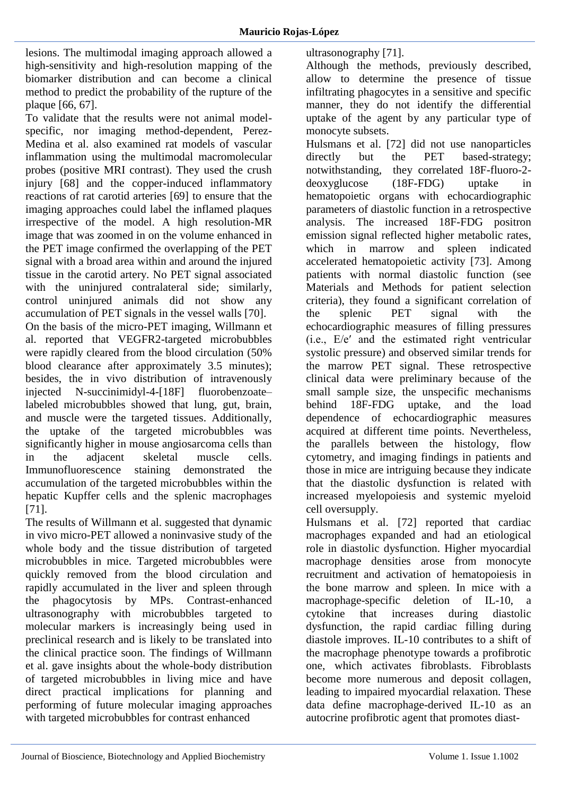lesions. The multimodal imaging approach allowed a high-sensitivity and high-resolution mapping of the biomarker distribution and can become a clinical method to predict the probability of the rupture of the plaque [66, 67].

To validate that the results were not animal modelspecific, nor imaging method-dependent, Perez-Medina et al. also examined rat models of vascular inflammation using the multimodal macromolecular probes (positive MRI contrast). They used the crush injury [68] and the copper-induced inflammatory reactions of rat carotid arteries [69] to ensure that the imaging approaches could label the inflamed plaques irrespective of the model. A high resolution-MR image that was zoomed in on the volume enhanced in the PET image confirmed the overlapping of the PET signal with a broad area within and around the injured tissue in the carotid artery. No PET signal associated with the uninjured contralateral side; similarly, control uninjured animals did not show any accumulation of PET signals in the vessel walls [70]. On the basis of the micro-PET imaging, Willmann et al. reported that VEGFR2-targeted microbubbles were rapidly cleared from the blood circulation (50% blood clearance after approximately 3.5 minutes); besides, the in vivo distribution of intravenously injected N-succinimidyl-4-[18F] fluorobenzoate– labeled microbubbles showed that lung, gut, brain, and muscle were the targeted tissues. Additionally, the uptake of the targeted microbubbles was significantly higher in mouse angiosarcoma cells than in the adjacent skeletal muscle cells. Immunofluorescence staining demonstrated the accumulation of the targeted microbubbles within the hepatic Kupffer cells and the splenic macrophages

[71]. The results of Willmann et al. suggested that dynamic in vivo micro-PET allowed a noninvasive study of the whole body and the tissue distribution of targeted microbubbles in mice. Targeted microbubbles were quickly removed from the blood circulation and rapidly accumulated in the liver and spleen through the phagocytosis by MPs. Contrast-enhanced ultrasonography with microbubbles targeted to molecular markers is increasingly being used in preclinical research and is likely to be translated into the clinical practice soon. The findings of Willmann et al. gave insights about the whole-body distribution of targeted microbubbles in living mice and have direct practical implications for planning and performing of future molecular imaging approaches with targeted microbubbles for contrast enhanced

ultrasonography [71].

Although the methods, previously described, allow to determine the presence of tissue infiltrating phagocytes in a sensitive and specific manner, they do not identify the differential uptake of the agent by any particular type of monocyte subsets.

Hulsmans et al. [72] did not use nanoparticles directly but the PET based-strategy; notwithstanding, they correlated 18F-fluoro-2 deoxyglucose (18F-FDG) uptake in hematopoietic organs with echocardiographic parameters of diastolic function in a retrospective analysis. The increased 18F-FDG positron emission signal reflected higher metabolic rates, which in marrow and spleen indicated accelerated hematopoietic activity [73]. Among patients with normal diastolic function (see Materials and Methods for patient selection criteria), they found a significant correlation of the splenic PET signal with the echocardiographic measures of filling pressures (i.e., E/e′ and the estimated right ventricular systolic pressure) and observed similar trends for the marrow PET signal. These retrospective clinical data were preliminary because of the small sample size, the unspecific mechanisms behind 18F-FDG uptake, and the load dependence of echocardiographic measures acquired at different time points. Nevertheless, the parallels between the histology, flow cytometry, and imaging findings in patients and those in mice are intriguing because they indicate that the diastolic dysfunction is related with increased myelopoiesis and systemic myeloid cell oversupply.

Hulsmans et al. [72] reported that cardiac macrophages expanded and had an etiological role in diastolic dysfunction. Higher myocardial macrophage densities arose from monocyte recruitment and activation of hematopoiesis in the bone marrow and spleen. In mice with a macrophage-specific deletion of IL-10, a cytokine that increases during diastolic dysfunction, the rapid cardiac filling during diastole improves. IL-10 contributes to a shift of the macrophage phenotype towards a profibrotic one, which activates fibroblasts. Fibroblasts become more numerous and deposit collagen, leading to impaired myocardial relaxation. These data define macrophage-derived IL-10 as an autocrine profibrotic agent that promotes diast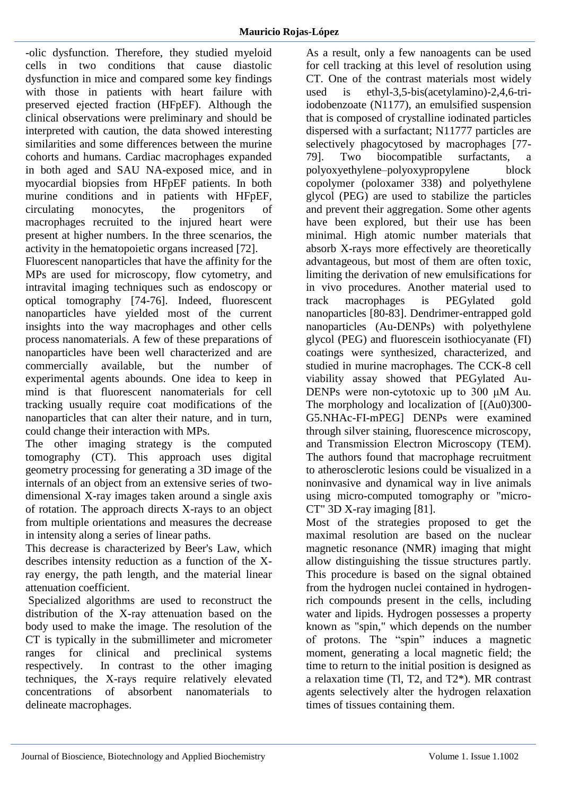-olic dysfunction. Therefore, they studied myeloid cells in two conditions that cause diastolic dysfunction in mice and compared some key findings with those in patients with heart failure with preserved ejected fraction (HFpEF). Although the clinical observations were preliminary and should be interpreted with caution, the data showed interesting similarities and some differences between the murine cohorts and humans. Cardiac macrophages expanded in both aged and SAU NA-exposed mice, and in myocardial biopsies from HFpEF patients. In both murine conditions and in patients with HFpEF, circulating monocytes, the progenitors of macrophages recruited to the injured heart were present at higher numbers. In the three scenarios, the activity in the hematopoietic organs increased [72].

Fluorescent nanoparticles that have the affinity for the MPs are used for microscopy, flow cytometry, and intravital imaging techniques such as endoscopy or optical tomography [74-76]. Indeed, fluorescent nanoparticles have yielded most of the current insights into the way macrophages and other cells process nanomaterials. A few of these preparations of nanoparticles have been well characterized and are commercially available, but the number of experimental agents abounds. One idea to keep in mind is that fluorescent nanomaterials for cell tracking usually require coat modifications of the nanoparticles that can alter their nature, and in turn, could change their interaction with MPs.

The other imaging strategy is the computed tomography (CT). This approach uses digital geometry processing for generating a 3D image of the internals of an object from an extensive series of twodimensional X-ray images taken around a single axis of rotation. The approach directs X-rays to an object from multiple orientations and measures the decrease in intensity along a series of linear paths.

This decrease is characterized by Beer's Law, which describes intensity reduction as a function of the Xray energy, the path length, and the material linear attenuation coefficient.

Specialized algorithms are used to reconstruct the distribution of the X-ray attenuation based on the body used to make the image. The resolution of the CT is typically in the submillimeter and micrometer ranges for clinical and preclinical systems respectively. In contrast to the other imaging techniques, the X-rays require relatively elevated concentrations of absorbent nanomaterials to delineate macrophages.

As a result, only a few nanoagents can be used for cell tracking at this level of resolution using CT. One of the contrast materials most widely used is ethyl-3,5-bis(acetylamino)-2,4,6-triiodobenzoate (N1177), an emulsified suspension that is composed of crystalline iodinated particles dispersed with a surfactant; N11777 particles are selectively phagocytosed by macrophages [77- 79]. Two biocompatible surfactants, a polyoxyethylene–polyoxypropylene block copolymer (poloxamer 338) and polyethylene glycol (PEG) are used to stabilize the particles and prevent their aggregation. Some other agents have been explored, but their use has been minimal. High atomic number materials that absorb X-rays more effectively are theoretically advantageous, but most of them are often toxic, limiting the derivation of new emulsifications for in vivo procedures. Another material used to track macrophages is PEGylated gold nanoparticles [80-83]. Dendrimer-entrapped gold nanoparticles (Au-DENPs) with polyethylene glycol (PEG) and fluorescein isothiocyanate (FI) coatings were synthesized, characterized, and studied in murine macrophages. The CCK-8 cell viability assay showed that PEGylated Au-DENPs were non-cytotoxic up to 300 μM Au. The morphology and localization of  $[(Au0)300 -$ G5.NHAc-FI-mPEG] DENPs were examined through silver staining, fluorescence microscopy, and Transmission Electron Microscopy (TEM). The authors found that macrophage recruitment to atherosclerotic lesions could be visualized in a noninvasive and dynamical way in live animals using micro-computed tomography or "micro-CT" 3D X-ray imaging [81].

Most of the strategies proposed to get the maximal resolution are based on the nuclear magnetic resonance (NMR) imaging that might allow distinguishing the tissue structures partly. This procedure is based on the signal obtained from the hydrogen nuclei contained in hydrogenrich compounds present in the cells, including water and lipids. Hydrogen possesses a property known as "spin," which depends on the number of protons. The "spin" induces a magnetic moment, generating a local magnetic field; the time to return to the initial position is designed as a relaxation time (Tl, T2, and T2\*). MR contrast agents selectively alter the hydrogen relaxation times of tissues containing them.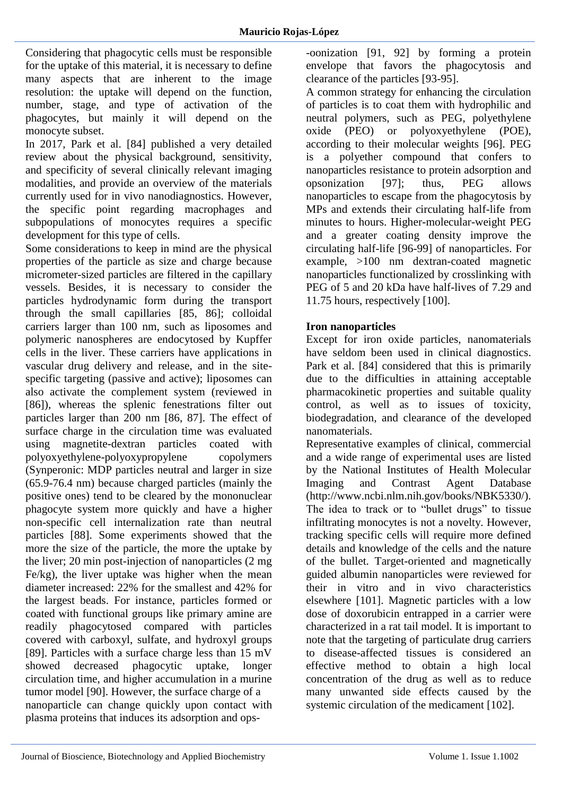Considering that phagocytic cells must be responsible for the uptake of this material, it is necessary to define many aspects that are inherent to the image resolution: the uptake will depend on the function, number, stage, and type of activation of the phagocytes, but mainly it will depend on the monocyte subset.

In 2017, Park et al. [84] published a very detailed review about the physical background, sensitivity, and specificity of several clinically relevant imaging modalities, and provide an overview of the materials currently used for in vivo nanodiagnostics. However, the specific point regarding macrophages and subpopulations of monocytes requires a specific development for this type of cells.

Some considerations to keep in mind are the physical properties of the particle as size and charge because micrometer-sized particles are filtered in the capillary vessels. Besides, it is necessary to consider the particles hydrodynamic form during the transport through the small capillaries [85, 86]; colloidal carriers larger than 100 nm, such as liposomes and polymeric nanospheres are endocytosed by Kupffer cells in the liver. These carriers have applications in vascular drug delivery and release, and in the sitespecific targeting (passive and active); liposomes can also activate the complement system (reviewed in [86]), whereas the splenic fenestrations filter out particles larger than 200 nm [86, 87]. The effect of surface charge in the circulation time was evaluated using magnetite-dextran particles coated with polyoxyethylene-polyoxypropylene copolymers (Synperonic: MDP particles neutral and larger in size (65.9-76.4 nm) because charged particles (mainly the positive ones) tend to be cleared by the mononuclear phagocyte system more quickly and have a higher non-specific cell internalization rate than neutral particles [88]. Some experiments showed that the more the size of the particle, the more the uptake by the liver; 20 min post-injection of nanoparticles (2 mg Fe/kg), the liver uptake was higher when the mean diameter increased: 22% for the smallest and 42% for the largest beads. For instance, particles formed or coated with functional groups like primary amine are readily phagocytosed compared with particles covered with carboxyl, sulfate, and hydroxyl groups [89]. Particles with a surface charge less than 15 mV showed decreased phagocytic uptake, longer circulation time, and higher accumulation in a murine tumor model [90]. However, the surface charge of a nanoparticle can change quickly upon contact with plasma proteins that induces its adsorption and ops-oonization [91, 92] by forming a protein envelope that favors the phagocytosis and clearance of the particles [93-95].

A common strategy for enhancing the circulation of particles is to coat them with hydrophilic and neutral polymers, such as PEG, polyethylene oxide (PEO) or polyoxyethylene (POE), according to their molecular weights [96]. PEG is a polyether compound that confers to nanoparticles resistance to protein adsorption and opsonization [97]; thus, PEG allows nanoparticles to escape from the phagocytosis by MPs and extends their circulating half-life from minutes to hours. Higher-molecular-weight PEG and a greater coating density improve the circulating half-life [96-99] of nanoparticles. For example, >100 nm dextran-coated magnetic nanoparticles functionalized by crosslinking with PEG of 5 and 20 kDa have half-lives of 7.29 and 11.75 hours, respectively [100].

# **Iron nanoparticles**

Except for iron oxide particles, nanomaterials have seldom been used in clinical diagnostics. Park et al. [84] considered that this is primarily due to the difficulties in attaining acceptable pharmacokinetic properties and suitable quality control, as well as to issues of toxicity, biodegradation, and clearance of the developed nanomaterials.

Representative examples of clinical, commercial and a wide range of experimental uses are listed by the National Institutes of Health Molecular Imaging and Contrast Agent Database (http://www.ncbi.nlm.nih.gov/books/NBK5330/). The idea to track or to "bullet drugs" to tissue infiltrating monocytes is not a novelty. However, tracking specific cells will require more defined details and knowledge of the cells and the nature of the bullet. Target-oriented and magnetically guided albumin nanoparticles were reviewed for their in vitro and in vivo characteristics elsewhere [101]. Magnetic particles with a low dose of doxorubicin entrapped in a carrier were characterized in a rat tail model. It is important to note that the targeting of particulate drug carriers to disease-affected tissues is considered an effective method to obtain a high local concentration of the drug as well as to reduce many unwanted side effects caused by the systemic circulation of the medicament [102].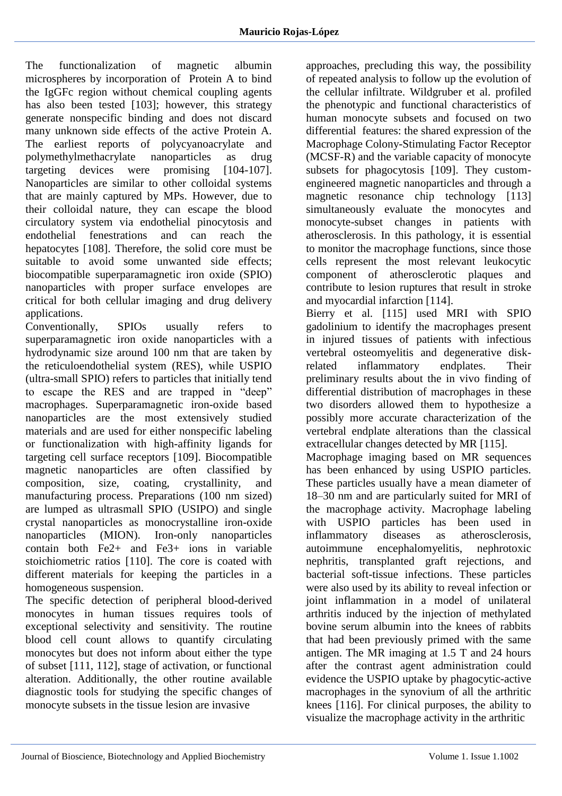The functionalization of magnetic albumin microspheres by incorporation of Protein A to bind the IgGFc region without chemical coupling agents has also been tested [103]; however, this strategy generate nonspecific binding and does not discard many unknown side effects of the active Protein A. The earliest reports of polycyanoacrylate and polymethylmethacrylate nanoparticles as drug targeting devices were promising [104-107]. Nanoparticles are similar to other colloidal systems that are mainly captured by MPs. However, due to their colloidal nature, they can escape the blood circulatory system via endothelial pinocytosis and<br>endothelial fenestrations and can reach the endothelial fenestrations and can reach the hepatocytes [108]. Therefore, the solid core must be suitable to avoid some unwanted side effects; biocompatible superparamagnetic iron oxide (SPIO) nanoparticles with proper surface envelopes are critical for both cellular imaging and drug delivery applications.

Conventionally, SPIOs usually refers to superparamagnetic iron oxide nanoparticles with a hydrodynamic size around 100 nm that are taken by the reticuloendothelial system (RES), while USPIO (ultra-small SPIO) refers to particles that initially tend to escape the RES and are trapped in "deep" macrophages. Superparamagnetic iron-oxide based nanoparticles are the most extensively studied materials and are used for either nonspecific labeling or functionalization with high-affinity ligands for targeting cell surface receptors [109]. Biocompatible magnetic nanoparticles are often classified by composition, size, coating, crystallinity, and manufacturing process. Preparations (100 nm sized) are lumped as ultrasmall SPIO (USIPO) and single crystal nanoparticles as monocrystalline iron-oxide nanoparticles (MION). Iron-only nanoparticles contain both Fe2+ and Fe3+ ions in variable stoichiometric ratios [110]. The core is coated with different materials for keeping the particles in a homogeneous suspension.

The specific detection of peripheral blood-derived monocytes in human tissues requires tools of exceptional selectivity and sensitivity. The routine blood cell count allows to quantify circulating monocytes but does not inform about either the type of subset [111, 112], stage of activation, or functional alteration. Additionally, the other routine available diagnostic tools for studying the specific changes of monocyte subsets in the tissue lesion are invasive

approaches, precluding this way, the possibility of repeated analysis to follow up the evolution of the cellular infiltrate. Wildgruber et al. profiled the phenotypic and functional characteristics of human monocyte subsets and focused on two differential features: the shared expression of the Macrophage Colony-Stimulating Factor Receptor (MCSF-R) and the variable capacity of monocyte subsets for phagocytosis [109]. They customengineered magnetic nanoparticles and through a magnetic resonance chip technology [113] simultaneously evaluate the monocytes and monocyte-subset changes in patients with atherosclerosis. In this pathology, it is essential to monitor the macrophage functions, since those cells represent the most relevant leukocytic component of atherosclerotic plaques and contribute to lesion ruptures that result in stroke and myocardial infarction [114].

Bierry et al. [115] used MRI with SPIO gadolinium to identify the macrophages present in injured tissues of patients with infectious vertebral osteomyelitis and degenerative diskrelated inflammatory endplates. Their preliminary results about the in vivo finding of differential distribution of macrophages in these two disorders allowed them to hypothesize a possibly more accurate characterization of the vertebral endplate alterations than the classical extracellular changes detected by MR [115].

Macrophage imaging based on MR sequences has been enhanced by using USPIO particles. These particles usually have a mean diameter of 18–30 nm and are particularly suited for MRI of the macrophage activity. Macrophage labeling with USPIO particles has been used in inflammatory diseases as atherosclerosis, autoimmune encephalomyelitis, nephrotoxic nephritis, transplanted graft rejections, and bacterial soft-tissue infections. These particles were also used by its ability to reveal infection or joint inflammation in a model of unilateral arthritis induced by the injection of methylated bovine serum albumin into the knees of rabbits that had been previously primed with the same antigen. The MR imaging at 1.5 T and 24 hours after the contrast agent administration could evidence the USPIO uptake by phagocytic-active macrophages in the synovium of all the arthritic knees [116]. For clinical purposes, the ability to visualize the macrophage activity in the arthritic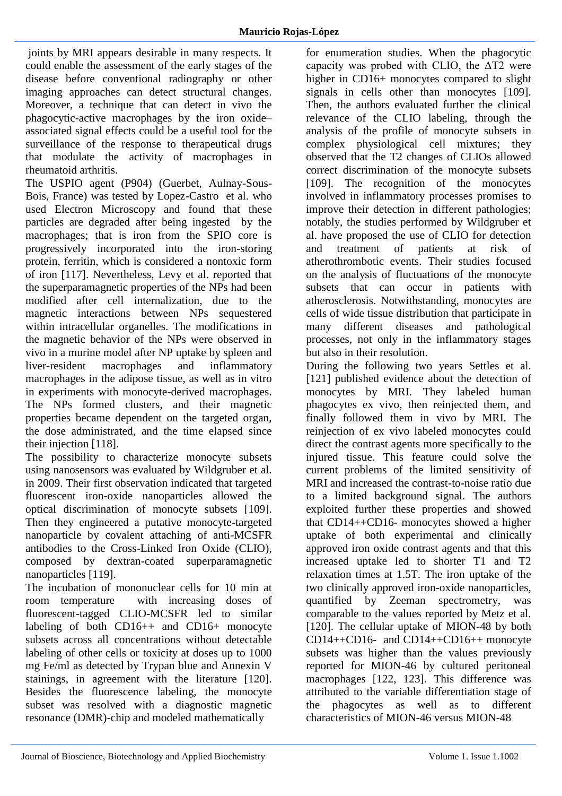joints by MRI appears desirable in many respects. It could enable the assessment of the early stages of the disease before conventional radiography or other imaging approaches can detect structural changes. Moreover, a technique that can detect in vivo the phagocytic-active macrophages by the iron oxide– associated signal effects could be a useful tool for the surveillance of the response to therapeutical drugs that modulate the activity of macrophages in rheumatoid arthritis.

The USPIO agent (P904) (Guerbet, Aulnay-Sous-Bois, France) was tested by Lopez-Castro et al. who used Electron Microscopy and found that these particles are degraded after being ingested by the macrophages; that is iron from the SPIO core is progressively incorporated into the iron-storing protein, ferritin, which is considered a nontoxic form of iron [117]. Nevertheless, Levy et al. reported that the superparamagnetic properties of the NPs had been modified after cell internalization, due to the magnetic interactions between NPs sequestered within intracellular organelles. The modifications in the magnetic behavior of the NPs were observed in vivo in a murine model after NP uptake by spleen and liver-resident macrophages and inflammatory macrophages in the adipose tissue, as well as in vitro in experiments with monocyte-derived macrophages. The NPs formed clusters, and their magnetic properties became dependent on the targeted organ, the dose administrated, and the time elapsed since their injection [118].

The possibility to characterize monocyte subsets using nanosensors was evaluated by Wildgruber et al. in 2009. Their first observation indicated that targeted fluorescent iron-oxide nanoparticles allowed the optical discrimination of monocyte subsets [109]. Then they engineered a putative monocyte-targeted nanoparticle by covalent attaching of anti-MCSFR antibodies to the Cross-Linked Iron Oxide (CLIO), composed by dextran-coated superparamagnetic nanoparticles [119].

The incubation of mononuclear cells for 10 min at room temperature with increasing doses of fluorescent-tagged CLIO-MCSFR led to similar labeling of both CD16++ and CD16+ monocyte subsets across all concentrations without detectable labeling of other cells or toxicity at doses up to 1000 mg Fe/ml as detected by Trypan blue and Annexin V stainings, in agreement with the literature [120]. Besides the fluorescence labeling, the monocyte subset was resolved with a diagnostic magnetic resonance (DMR)-chip and modeled mathematically

for enumeration studies. When the phagocytic capacity was probed with CLIO, the  $\Delta T2$  were higher in CD16+ monocytes compared to slight signals in cells other than monocytes [109]. Then, the authors evaluated further the clinical relevance of the CLIO labeling, through the analysis of the profile of monocyte subsets in complex physiological cell mixtures; they observed that the T2 changes of CLIOs allowed correct discrimination of the monocyte subsets [109]. The recognition of the monocytes involved in inflammatory processes promises to improve their detection in different pathologies; notably, the studies performed by Wildgruber et al. have proposed the use of CLIO for detection and treatment of patients at risk of atherothrombotic events. Their studies focused on the analysis of fluctuations of the monocyte subsets that can occur in patients with atherosclerosis. Notwithstanding, monocytes are cells of wide tissue distribution that participate in many different diseases and pathological processes, not only in the inflammatory stages but also in their resolution.

During the following two years Settles et al. [121] published evidence about the detection of monocytes by MRI. They labeled human phagocytes ex vivo, then reinjected them, and finally followed them in vivo by MRI. The reinjection of ex vivo labeled monocytes could direct the contrast agents more specifically to the injured tissue. This feature could solve the current problems of the limited sensitivity of MRI and increased the contrast-to-noise ratio due to a limited background signal. The authors exploited further these properties and showed that CD14++CD16- monocytes showed a higher uptake of both experimental and clinically approved iron oxide contrast agents and that this increased uptake led to shorter T1 and T2 relaxation times at 1.5T. The iron uptake of the two clinically approved iron-oxide nanoparticles, quantified by Zeeman spectrometry, was comparable to the values reported by Metz et al. [120]. The cellular uptake of MION-48 by both CD14++CD16- and CD14++CD16++ monocyte subsets was higher than the values previously reported for MION-46 by cultured peritoneal macrophages [122, 123]. This difference was attributed to the variable differentiation stage of the phagocytes as well as to different characteristics of MION-46 versus MION-48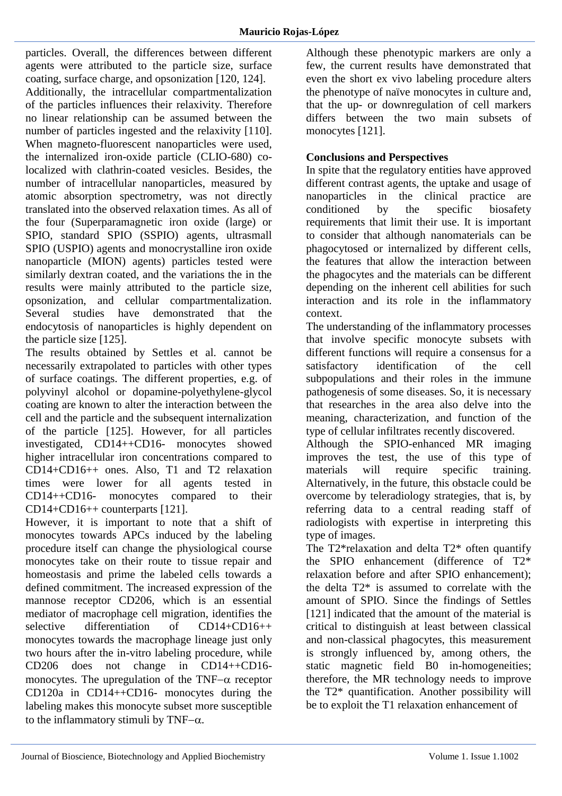particles. Overall, the differences between different agents were attributed to the particle size, surface coating, surface charge, and opsonization [120, 124]. Additionally, the intracellular compartmentalization of the particles influences their relaxivity. Therefore no linear relationship can be assumed between the number of particles ingested and the relaxivity [110]. When magneto-fluorescent nanoparticles were used, the internalized iron-oxide particle (CLIO-680) colocalized with clathrin-coated vesicles. Besides, the number of intracellular nanoparticles, measured by atomic absorption spectrometry, was not directly translated into the observed relaxation times. As all of the four (Superparamagnetic iron oxide (large) or SPIO, standard SPIO (SSPIO) agents, ultrasmall SPIO (USPIO) agents and monocrystalline iron oxide nanoparticle (MION) agents) particles tested were similarly dextran coated, and the variations the in the results were mainly attributed to the particle size, opsonization, and cellular compartmentalization. Several studies have demonstrated that the endocytosis of nanoparticles is highly dependent on the particle size [125].

The results obtained by Settles et al. cannot be necessarily extrapolated to particles with other types of surface coatings. The different properties, e.g. of polyvinyl alcohol or dopamine-polyethylene-glycol coating are known to alter the interaction between the cell and the particle and the subsequent internalization of the particle [125]. However, for all particles investigated, CD14++CD16- monocytes showed higher intracellular iron concentrations compared to CD14+CD16++ ones. Also, T1 and T2 relaxation times were lower for all agents tested in CD14++CD16- monocytes compared to their CD14+CD16++ counterparts [121].

However, it is important to note that a shift of monocytes towards APCs induced by the labeling procedure itself can change the physiological course monocytes take on their route to tissue repair and homeostasis and prime the labeled cells towards a defined commitment. The increased expression of the mannose receptor CD206, which is an essential mediator of macrophage cell migration, identifies the selective differentiation of CD14+CD16++ monocytes towards the macrophage lineage just only two hours after the in-vitro labeling procedure, while CD206 does not change in CD14++CD16 monocytes. The upregulation of the TNF $-\alpha$  receptor CD120a in CD14++CD16- monocytes during the labeling makes this monocyte subset more susceptible to the inflammatory stimuli by TNF $-\alpha$ .

Although these phenotypic markers are only a few, the current results have demonstrated that even the short ex vivo labeling procedure alters the phenotype of naïve monocytes in culture and, that the up- or downregulation of cell markers differs between the two main subsets of monocytes [121].

## **Conclusions and Perspectives**

In spite that the regulatory entities have approved different contrast agents, the uptake and usage of nanoparticles in the clinical practice are conditioned by the specific biosafety requirements that limit their use. It is important to consider that although nanomaterials can be phagocytosed or internalized by different cells, the features that allow the interaction between the phagocytes and the materials can be different depending on the inherent cell abilities for such interaction and its role in the inflammatory context.

The understanding of the inflammatory processes that involve specific monocyte subsets with different functions will require a consensus for a satisfactory identification of the cell subpopulations and their roles in the immune pathogenesis of some diseases. So, it is necessary that researches in the area also delve into the meaning, characterization, and function of the type of cellular infiltrates recently discovered.

Although the SPIO-enhanced MR imaging improves the test, the use of this type of materials will require specific training. Alternatively, in the future, this obstacle could be overcome by teleradiology strategies, that is, by referring data to a central reading staff of radiologists with expertise in interpreting this type of images.

The T2\*relaxation and delta T2\* often quantify the SPIO enhancement (difference of T2\* relaxation before and after SPIO enhancement); the delta T2\* is assumed to correlate with the amount of SPIO. Since the findings of Settles [121] indicated that the amount of the material is critical to distinguish at least between classical and non-classical phagocytes, this measurement is strongly influenced by, among others, the static magnetic field B0 in-homogeneities; therefore, the MR technology needs to improve the T2\* quantification. Another possibility will be to exploit the T1 relaxation enhancement of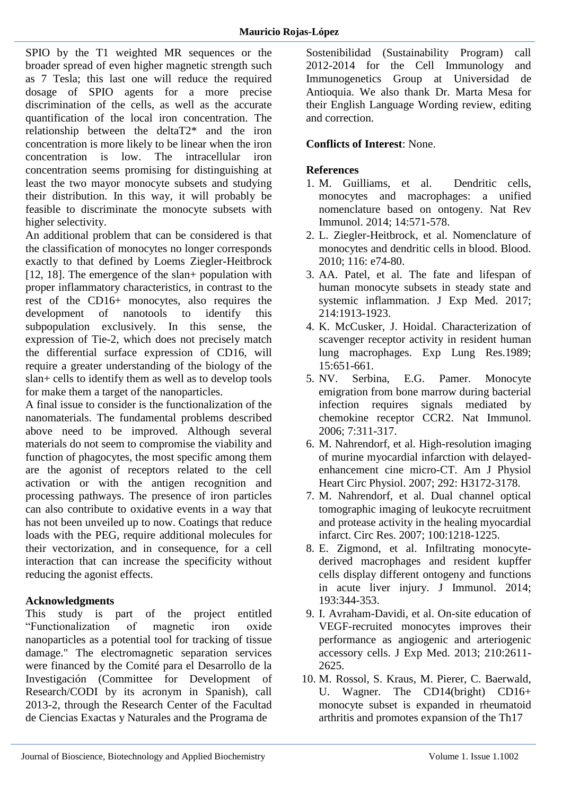SPIO by the T1 weighted MR sequences or the broader spread of even higher magnetic strength such as 7 Tesla; this last one will reduce the required dosage of SPIO agents for a more precise discrimination of the cells, as well as the accurate quantification of the local iron concentration. The relationship between the deltaT2\* and the iron concentration is more likely to be linear when the iron concentration is low. The intracellular iron concentration seems promising for distinguishing at least the two mayor monocyte subsets and studying their distribution. In this way, it will probably be feasible to discriminate the monocyte subsets with higher selectivity.

An additional problem that can be considered is that the classification of monocytes no longer corresponds exactly to that defined by Loems Ziegler-Heitbrock [12, 18]. The emergence of the slan+ population with proper inflammatory characteristics, in contrast to the rest of the CD16+ monocytes, also requires the development of nanotools to identify this subpopulation exclusively. In this sense, the expression of Tie-2, which does not precisely match the differential surface expression of CD16, will require a greater understanding of the biology of the slan+ cells to identify them as well as to develop tools for make them a target of the nanoparticles.

A final issue to consider is the functionalization of the nanomaterials. The fundamental problems described above need to be improved. Although several materials do not seem to compromise the viability and function of phagocytes, the most specific among them are the agonist of receptors related to the cell activation or with the antigen recognition and processing pathways. The presence of iron particles can also contribute to oxidative events in a way that has not been unveiled up to now. Coatings that reduce loads with the PEG, require additional molecules for their vectorization, and in consequence, for a cell interaction that can increase the specificity without reducing the agonist effects.

# **Acknowledgments**

This study is part of the project entitled "Functionalization of magnetic iron oxide nanoparticles as a potential tool for tracking of tissue damage." The electromagnetic separation services were financed by the Comité para el Desarrollo de la Investigación (Committee for Development of Research/CODI by its acronym in Spanish), call 2013-2, through the Research Center of the Facultad de Ciencias Exactas y Naturales and the Programa de

Sostenibilidad (Sustainability Program) call 2012-2014 for the Cell Immunology and Immunogenetics Group at Universidad de Antioquia. We also thank Dr. Marta Mesa for their English Language Wording review, editing and correction.

## **Conflicts of Interest**: None.

#### **References**

- 1. [M. Guilliams, et al. Dendritic cells,](https://www.nature.com/articles/nri3712)  [monocytes and macrophages: a unified](https://www.nature.com/articles/nri3712)  [nomenclature based on ontogeny. Nat Rev](https://www.nature.com/articles/nri3712)  [Immunol. 2014; 14:571-578.](https://www.nature.com/articles/nri3712)
- 2. [L. Ziegler-Heitbrock, et al. Nomenclature of](https://www.ncbi.nlm.nih.gov/pubmed/20628149)  [monocytes and dendritic cells in blood. Blood.](https://www.ncbi.nlm.nih.gov/pubmed/20628149)  [2010; 116: e74-80.](https://www.ncbi.nlm.nih.gov/pubmed/20628149)
- 3. [AA. Patel, et al. The fate and lifespan of](http://jem.rupress.org/content/214/7/1913)  [human monocyte subsets in steady state and](http://jem.rupress.org/content/214/7/1913)  [systemic inflammation. J Exp Med. 2017;](http://jem.rupress.org/content/214/7/1913)  [214:1913-1923.](http://jem.rupress.org/content/214/7/1913)
- 4. [K. McCusker, J. Hoidal. Characterization of](https://www.ncbi.nlm.nih.gov/pubmed/2548833)  [scavenger receptor activity in resident human](https://www.ncbi.nlm.nih.gov/pubmed/2548833)  [lung macrophages. Exp Lung Res.1989;](https://www.ncbi.nlm.nih.gov/pubmed/2548833)  [15:651-661.](https://www.ncbi.nlm.nih.gov/pubmed/2548833)
- 5. [NV. Serbina, E.G. Pamer. Monocyte](https://www.ncbi.nlm.nih.gov/pubmed/16462739)  [emigration from bone marrow during bacterial](https://www.ncbi.nlm.nih.gov/pubmed/16462739)  [infection requires signals mediated by](https://www.ncbi.nlm.nih.gov/pubmed/16462739)  [chemokine receptor CCR2. Nat Immunol.](https://www.ncbi.nlm.nih.gov/pubmed/16462739)  [2006; 7:311-317.](https://www.ncbi.nlm.nih.gov/pubmed/16462739)
- 6. [M. Nahrendorf, et al. High-resolution imaging](https://www.ncbi.nlm.nih.gov/pubmed/17322414)  [of murine myocardial infarction with delayed](https://www.ncbi.nlm.nih.gov/pubmed/17322414)[enhancement cine micro-CT. Am J Physiol](https://www.ncbi.nlm.nih.gov/pubmed/17322414)  [Heart Circ Physiol. 2007; 292: H3172-3178.](https://www.ncbi.nlm.nih.gov/pubmed/17322414)
- 7. [M. Nahrendorf, et al. Dual channel optical](https://www.ncbi.nlm.nih.gov/pubmed/17379832)  [tomographic imaging of leukocyte recruitment](https://www.ncbi.nlm.nih.gov/pubmed/17379832)  [and protease activity in the healing myocardial](https://www.ncbi.nlm.nih.gov/pubmed/17379832)  [infarct. Circ Res. 2007; 100:1218-1225.](https://www.ncbi.nlm.nih.gov/pubmed/17379832)
- 8. [E. Zigmond, et al. Infiltrating monocyte](https://www.ncbi.nlm.nih.gov/pubmed/24890723)[derived macrophages and resident kupffer](https://www.ncbi.nlm.nih.gov/pubmed/24890723)  [cells display different ontogeny and functions](https://www.ncbi.nlm.nih.gov/pubmed/24890723)  [in acute liver injury. J Immunol. 2014;](https://www.ncbi.nlm.nih.gov/pubmed/24890723)  [193:344-353.](https://www.ncbi.nlm.nih.gov/pubmed/24890723)
- 9. [I. Avraham-Davidi, et al. On-site education of](https://www.ncbi.nlm.nih.gov/pubmed/24166715)  [VEGF-recruited monocytes improves their](https://www.ncbi.nlm.nih.gov/pubmed/24166715)  [performance as angiogenic and arteriogenic](https://www.ncbi.nlm.nih.gov/pubmed/24166715)  [accessory cells. J Exp Med. 2013; 210:2611-](https://www.ncbi.nlm.nih.gov/pubmed/24166715) [2625.](https://www.ncbi.nlm.nih.gov/pubmed/24166715)
- 10. [M. Rossol, S. Kraus, M. Pierer, C. Baerwald,](https://www.ncbi.nlm.nih.gov/pubmed/22006178)  [U. Wagner. The CD14\(bright\) CD16+](https://www.ncbi.nlm.nih.gov/pubmed/22006178)  [monocyte subset is expanded in rheumatoid](https://www.ncbi.nlm.nih.gov/pubmed/22006178)  [arthritis and promotes expansion of the Th17](https://www.ncbi.nlm.nih.gov/pubmed/22006178)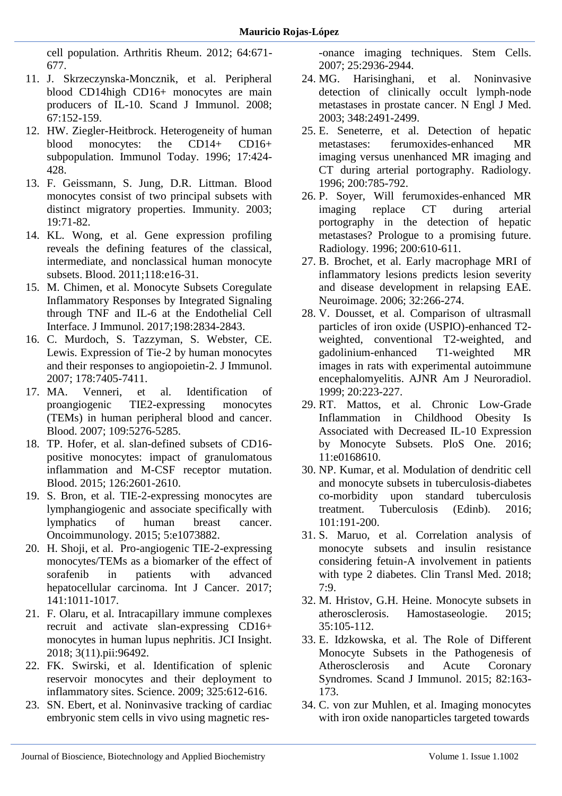[cell population. Arthritis Rheum. 2012; 64:671-](https://www.ncbi.nlm.nih.gov/pubmed/22006178) [677.](https://www.ncbi.nlm.nih.gov/pubmed/22006178)

- 11. [J. Skrzeczynska-Moncznik, et al. Peripheral](https://www.ncbi.nlm.nih.gov/pubmed/18201370)  [blood CD14high CD16+ monocytes are main](https://www.ncbi.nlm.nih.gov/pubmed/18201370)  [producers of IL-10. Scand J Immunol. 2008;](https://www.ncbi.nlm.nih.gov/pubmed/18201370)  [67:152-159.](https://www.ncbi.nlm.nih.gov/pubmed/18201370)
- 12. [HW. Ziegler-Heitbrock. Heterogeneity of human](https://www.sciencedirect.com/science/article/pii/0167569996100293?via%3Dihub)  [blood monocytes: the CD14+ CD16+](https://www.sciencedirect.com/science/article/pii/0167569996100293?via%3Dihub)  [subpopulation. Immunol Today. 1996; 17:424-](https://www.sciencedirect.com/science/article/pii/0167569996100293?via%3Dihub) [428.](https://www.sciencedirect.com/science/article/pii/0167569996100293?via%3Dihub)
- 13. [F. Geissmann, S. Jung, D.R. Littman. Blood](https://www.ncbi.nlm.nih.gov/pubmed/12871640)  [monocytes consist of two principal subsets with](https://www.ncbi.nlm.nih.gov/pubmed/12871640)  [distinct migratory properties. Immunity. 2003;](https://www.ncbi.nlm.nih.gov/pubmed/12871640)  [19:71-82.](https://www.ncbi.nlm.nih.gov/pubmed/12871640)
- 14. [KL. Wong, et al. Gene expression profiling](https://www.ncbi.nlm.nih.gov/pubmed/21653326)  [reveals the defining features of the classical,](https://www.ncbi.nlm.nih.gov/pubmed/21653326)  [intermediate, and nonclassical human monocyte](https://www.ncbi.nlm.nih.gov/pubmed/21653326)  [subsets. Blood. 2011;118:e16-31.](https://www.ncbi.nlm.nih.gov/pubmed/21653326)
- 15. [M. Chimen, et al. Monocyte Subsets Coregulate](https://www.ncbi.nlm.nih.gov/pubmed/28193827)  [Inflammatory Responses by Integrated Signaling](https://www.ncbi.nlm.nih.gov/pubmed/28193827)  [through TNF and IL-6 at the Endothelial Cell](https://www.ncbi.nlm.nih.gov/pubmed/28193827)  [Interface. J Immunol. 2017;198:2834-2843.](https://www.ncbi.nlm.nih.gov/pubmed/28193827)
- 16. [C. Murdoch, S. Tazzyman, S. Webster, CE.](https://www.ncbi.nlm.nih.gov/pubmed/17513791)  [Lewis. Expression of Tie-2 by human monocytes](https://www.ncbi.nlm.nih.gov/pubmed/17513791)  [and their responses to angiopoietin-2. J Immunol.](https://www.ncbi.nlm.nih.gov/pubmed/17513791)  [2007; 178:7405-7411.](https://www.ncbi.nlm.nih.gov/pubmed/17513791)
- 17. [MA. Venneri, et al. Identification of](https://www.ncbi.nlm.nih.gov/pubmed/17327411)  [proangiogenic TIE2-expressing monocytes](https://www.ncbi.nlm.nih.gov/pubmed/17327411)  [\(TEMs\) in human peripheral blood and cancer.](https://www.ncbi.nlm.nih.gov/pubmed/17327411)  [Blood. 2007; 109:5276-5285.](https://www.ncbi.nlm.nih.gov/pubmed/17327411)
- 18. [TP. Hofer, et al. slan-defined subsets of CD16](https://www.ncbi.nlm.nih.gov/pubmed/26443621) [positive monocytes: impact of granulomatous](https://www.ncbi.nlm.nih.gov/pubmed/26443621)  [inflammation and M-CSF receptor mutation.](https://www.ncbi.nlm.nih.gov/pubmed/26443621)  [Blood. 2015; 126:2601-2610.](https://www.ncbi.nlm.nih.gov/pubmed/26443621)
- 19. [S. Bron, et al. TIE-2-expressing monocytes are](https://www.ncbi.nlm.nih.gov/pubmed/27057438)  [lymphangiogenic and associate specifically with](https://www.ncbi.nlm.nih.gov/pubmed/27057438)  [lymphatics of human breast](https://www.ncbi.nlm.nih.gov/pubmed/27057438) cancer. [Oncoimmunology. 2015; 5:e1073882.](https://www.ncbi.nlm.nih.gov/pubmed/27057438)
- 20. [H. Shoji, et al. Pro-angiogenic TIE-2-expressing](https://www.ncbi.nlm.nih.gov/pubmed/28555943)  [monocytes/TEMs as a biomarker of the effect of](https://www.ncbi.nlm.nih.gov/pubmed/28555943)  [sorafenib in patients with advanced](https://www.ncbi.nlm.nih.gov/pubmed/28555943)  [hepatocellular carcinoma. Int J Cancer. 2017;](https://www.ncbi.nlm.nih.gov/pubmed/28555943)  [141:1011-1017.](https://www.ncbi.nlm.nih.gov/pubmed/28555943)
- 21. [F. Olaru, et al. Intracapillary immune complexes](https://www.ncbi.nlm.nih.gov/pubmed/29875315)  [recruit and activate slan-expressing CD16+](https://www.ncbi.nlm.nih.gov/pubmed/29875315)  [monocytes in human lupus nephritis. JCI Insight.](https://www.ncbi.nlm.nih.gov/pubmed/29875315)  [2018; 3\(11\).pii:96492.](https://www.ncbi.nlm.nih.gov/pubmed/29875315)
- 22. [FK. Swirski, et al. Identification of splenic](https://www.ncbi.nlm.nih.gov/pubmed/19644120)  [reservoir monocytes and their deployment to](https://www.ncbi.nlm.nih.gov/pubmed/19644120)  [inflammatory sites. Science. 2009; 325:612-616.](https://www.ncbi.nlm.nih.gov/pubmed/19644120)
- 23. [SN. Ebert, et al. Noninvasive tracking of cardiac](https://www.ncbi.nlm.nih.gov/pubmed/17690182)  [embryonic stem cells in vivo using magnetic](https://www.ncbi.nlm.nih.gov/pubmed/17690182) res-

[-onance imaging techniques. Stem Cells.](https://www.ncbi.nlm.nih.gov/pubmed/17690182)  [2007; 25:2936-2944.](https://www.ncbi.nlm.nih.gov/pubmed/17690182)

- 24. [MG. Harisinghani, et al. Noninvasive](https://www.ncbi.nlm.nih.gov/pubmed/12815134)  [detection of clinically occult lymph-node](https://www.ncbi.nlm.nih.gov/pubmed/12815134)  [metastases in prostate cancer. N Engl J Med.](https://www.ncbi.nlm.nih.gov/pubmed/12815134)  [2003; 348:2491-2499.](https://www.ncbi.nlm.nih.gov/pubmed/12815134)
- 25. [E. Seneterre, et al. Detection of hepatic](https://www.ncbi.nlm.nih.gov/pubmed/8756932)  [metastases: ferumoxides-enhanced MR](https://www.ncbi.nlm.nih.gov/pubmed/8756932)  [imaging versus unenhanced MR imaging and](https://www.ncbi.nlm.nih.gov/pubmed/8756932)  [CT during arterial portography. Radiology.](https://www.ncbi.nlm.nih.gov/pubmed/8756932)  [1996; 200:785-792.](https://www.ncbi.nlm.nih.gov/pubmed/8756932)
- 26. [P. Soyer, Will ferumoxides-enhanced MR](https://pubs.rsna.org/doi/10.1148/radiology.200.3.8756902?url_ver=Z39.88-2003&rfr_id=ori%3Arid%3Acrossref.org&rfr_dat=cr_pub%3Dpubmed&)  [imaging replace CT during arterial](https://pubs.rsna.org/doi/10.1148/radiology.200.3.8756902?url_ver=Z39.88-2003&rfr_id=ori%3Arid%3Acrossref.org&rfr_dat=cr_pub%3Dpubmed&)  [portography in the detection of hepatic](https://pubs.rsna.org/doi/10.1148/radiology.200.3.8756902?url_ver=Z39.88-2003&rfr_id=ori%3Arid%3Acrossref.org&rfr_dat=cr_pub%3Dpubmed&)  [metastases? Prologue to a promising future.](https://pubs.rsna.org/doi/10.1148/radiology.200.3.8756902?url_ver=Z39.88-2003&rfr_id=ori%3Arid%3Acrossref.org&rfr_dat=cr_pub%3Dpubmed&)  [Radiology. 1996; 200:610-611.](https://pubs.rsna.org/doi/10.1148/radiology.200.3.8756902?url_ver=Z39.88-2003&rfr_id=ori%3Arid%3Acrossref.org&rfr_dat=cr_pub%3Dpubmed&)
- 27. [B. Brochet, et al. Early macrophage MRI of](https://www.ncbi.nlm.nih.gov/pubmed/16650776)  [inflammatory lesions predicts lesion severity](https://www.ncbi.nlm.nih.gov/pubmed/16650776)  [and disease development in relapsing EAE.](https://www.ncbi.nlm.nih.gov/pubmed/16650776)  [Neuroimage. 2006; 32:266-274.](https://www.ncbi.nlm.nih.gov/pubmed/16650776)
- 28. [V. Dousset, et al. Comparison of ultrasmall](https://www.ncbi.nlm.nih.gov/pubmed/10094342)  [particles of iron oxide \(USPIO\)-enhanced T2](https://www.ncbi.nlm.nih.gov/pubmed/10094342) [weighted, conventional T2-weighted, and](https://www.ncbi.nlm.nih.gov/pubmed/10094342)  [gadolinium-enhanced T1-weighted MR](https://www.ncbi.nlm.nih.gov/pubmed/10094342)  [images in rats with experimental autoimmune](https://www.ncbi.nlm.nih.gov/pubmed/10094342)  [encephalomyelitis. AJNR Am J Neuroradiol.](https://www.ncbi.nlm.nih.gov/pubmed/10094342)  [1999; 20:223-227.](https://www.ncbi.nlm.nih.gov/pubmed/10094342)
- 29. [RT. Mattos, et al. Chronic Low-Grade](https://www.ncbi.nlm.nih.gov/pubmed/27977792)  [Inflammation in Childhood Obesity Is](https://www.ncbi.nlm.nih.gov/pubmed/27977792)  [Associated with Decreased IL-10 Expression](https://www.ncbi.nlm.nih.gov/pubmed/27977792)  [by Monocyte Subsets. PloS One. 2016;](https://www.ncbi.nlm.nih.gov/pubmed/27977792)  [11:e0168610.](https://www.ncbi.nlm.nih.gov/pubmed/27977792)
- 30. [NP. Kumar, et al. Modulation of dendritic cell](https://www.ncbi.nlm.nih.gov/pubmed/27865391)  [and monocyte subsets in tuberculosis-diabetes](https://www.ncbi.nlm.nih.gov/pubmed/27865391)  [co-morbidity upon standard tuberculosis](https://www.ncbi.nlm.nih.gov/pubmed/27865391)  [treatment. Tuberculosis \(Edinb\). 2016;](https://www.ncbi.nlm.nih.gov/pubmed/27865391)  [101:191-200.](https://www.ncbi.nlm.nih.gov/pubmed/27865391)
- 31. [S. Maruo, et al. Correlation analysis of](https://www.ncbi.nlm.nih.gov/pubmed/29582352)  [monocyte subsets and insulin resistance](https://www.ncbi.nlm.nih.gov/pubmed/29582352)  [considering fetuin-A involvement in patients](https://www.ncbi.nlm.nih.gov/pubmed/29582352)  [with type 2 diabetes. Clin Transl Med. 2018;](https://www.ncbi.nlm.nih.gov/pubmed/29582352)  [7:9.](https://www.ncbi.nlm.nih.gov/pubmed/29582352)
- 32. [M. Hristov, G.H. Heine. Monocyte subsets in](https://www.ncbi.nlm.nih.gov/pubmed/25396218)  [atherosclerosis. Hamostaseologie. 2015;](https://www.ncbi.nlm.nih.gov/pubmed/25396218)  [35:105-112.](https://www.ncbi.nlm.nih.gov/pubmed/25396218)
- 33. [E. Idzkowska, et al. The Role of Different](https://onlinelibrary.wiley.com/doi/full/10.1111/sji.12314)  [Monocyte Subsets in the Pathogenesis of](https://onlinelibrary.wiley.com/doi/full/10.1111/sji.12314)  [Atherosclerosis and Acute Coronary](https://onlinelibrary.wiley.com/doi/full/10.1111/sji.12314)  [Syndromes. Scand J Immunol. 2015; 82:163-](https://onlinelibrary.wiley.com/doi/full/10.1111/sji.12314) [173.](https://onlinelibrary.wiley.com/doi/full/10.1111/sji.12314)
- 34. [C. von zur Muhlen, et al. Imaging monocytes](https://www.ncbi.nlm.nih.gov/pubmed/20973112)  [with iron oxide nanoparticles targeted towards](https://www.ncbi.nlm.nih.gov/pubmed/20973112)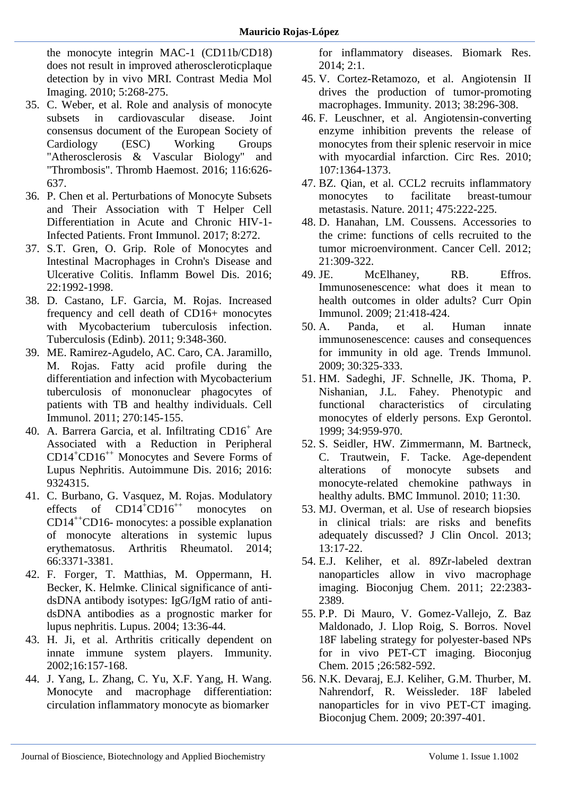[the monocyte integrin MAC-1 \(CD11b/CD18\)](https://www.ncbi.nlm.nih.gov/pubmed/20973112)  [does not result in improved atheroscleroticplaque](https://www.ncbi.nlm.nih.gov/pubmed/20973112)  [detection by in vivo MRI. Contrast Media Mol](https://www.ncbi.nlm.nih.gov/pubmed/20973112)  [Imaging. 2010; 5:268-275.](https://www.ncbi.nlm.nih.gov/pubmed/20973112)

- 35. [C. Weber, et al. Role and analysis of monocyte](https://www.ncbi.nlm.nih.gov/pubmed/27412877)  [subsets in cardiovascular disease. Joint](https://www.ncbi.nlm.nih.gov/pubmed/27412877)  [consensus document of the European Society of](https://www.ncbi.nlm.nih.gov/pubmed/27412877)  [Cardiology \(ESC\) Working Groups](https://www.ncbi.nlm.nih.gov/pubmed/27412877)  ["Atherosclerosis & Vascular Biology" and](https://www.ncbi.nlm.nih.gov/pubmed/27412877)  ["Thrombosis". Thromb Haemost. 2016; 116:626-](https://www.ncbi.nlm.nih.gov/pubmed/27412877) [637.](https://www.ncbi.nlm.nih.gov/pubmed/27412877)
- 36. [P. Chen et al. Perturbations of Monocyte Subsets](https://www.ncbi.nlm.nih.gov/pmc/articles/PMC5347116/)  [and Their Association with T Helper Cell](https://www.ncbi.nlm.nih.gov/pmc/articles/PMC5347116/)  [Differentiation in Acute and Chronic HIV-1-](https://www.ncbi.nlm.nih.gov/pmc/articles/PMC5347116/) [Infected Patients. Front Immunol. 2017; 8:272.](https://www.ncbi.nlm.nih.gov/pmc/articles/PMC5347116/)
- 37. [S.T. Gren, O. Grip. Role of Monocytes and](https://www.ncbi.nlm.nih.gov/pubmed/27243595)  [Intestinal Macrophages in Crohn's Disease and](https://www.ncbi.nlm.nih.gov/pubmed/27243595)  [Ulcerative Colitis. Inflamm Bowel Dis. 2016;](https://www.ncbi.nlm.nih.gov/pubmed/27243595)  [22:1992-1998.](https://www.ncbi.nlm.nih.gov/pubmed/27243595)
- 38. [D. Castano, LF. Garcia, M. Rojas. Increased](https://www.ncbi.nlm.nih.gov/pubmed/21621464)  [frequency and cell death of CD16+ monocytes](https://www.ncbi.nlm.nih.gov/pubmed/21621464)  with Mycobacterium tuberculosis infection. [Tuberculosis \(Edinb\). 2011; 9:348-360.](https://www.ncbi.nlm.nih.gov/pubmed/21621464)
- 39. [ME. Ramirez-Agudelo, AC. Caro, CA. Jaramillo,](https://www.ncbi.nlm.nih.gov/pubmed/21571261)  [M. Rojas. Fatty acid profile during the](https://www.ncbi.nlm.nih.gov/pubmed/21571261)  [differentiation and infection with Mycobacterium](https://www.ncbi.nlm.nih.gov/pubmed/21571261)  [tuberculosis of mononuclear phagocytes of](https://www.ncbi.nlm.nih.gov/pubmed/21571261)  [patients with TB and healthy individuals. Cell](https://www.ncbi.nlm.nih.gov/pubmed/21571261)  [Immunol. 2011; 270:145-155.](https://www.ncbi.nlm.nih.gov/pubmed/21571261)
- 40. A. [Barrera Garcia, et al. Infiltrating CD16](https://www.ncbi.nlm.nih.gov/pmc/articles/PMC5187455/)<sup>+</sup> Are [Associated with a Reduction in Peripheral](https://www.ncbi.nlm.nih.gov/pmc/articles/PMC5187455/)  CD14<sup>+</sup>CD16++ [Monocytes and Severe Forms of](https://www.ncbi.nlm.nih.gov/pmc/articles/PMC5187455/)  [Lupus Nephritis. Autoimmune Dis. 2016; 2016:](https://www.ncbi.nlm.nih.gov/pmc/articles/PMC5187455/)  [9324315.](https://www.ncbi.nlm.nih.gov/pmc/articles/PMC5187455/)
- 41. C. [Burbano, G. Vasquez, M. Rojas. Modulatory](https://www.ncbi.nlm.nih.gov/pubmed/25168844)  effects of  $CD14^+CD16^{++}$  monocytes on  $CD14^{++}CD16$ - monocytes: a possible explanation [of monocyte alterations in systemic lupus](https://www.ncbi.nlm.nih.gov/pubmed/25168844)  [erythematosus. Arthritis Rheumatol. 2014;](https://www.ncbi.nlm.nih.gov/pubmed/25168844)  [66:3371-3381.](https://www.ncbi.nlm.nih.gov/pubmed/25168844)
- 42. [F. Forger, T. Matthias, M. Oppermann, H.](https://www.ncbi.nlm.nih.gov/pubmed/14870916)  [Becker, K. Helmke. Clinical significance of anti](https://www.ncbi.nlm.nih.gov/pubmed/14870916)[dsDNA antibody isotypes: IgG/IgM ratio of anti](https://www.ncbi.nlm.nih.gov/pubmed/14870916)[dsDNA antibodies as a prognostic marker for](https://www.ncbi.nlm.nih.gov/pubmed/14870916)  [lupus nephritis. Lupus. 2004; 13:36-44.](https://www.ncbi.nlm.nih.gov/pubmed/14870916)
- 43. [H. Ji, et al. Arthritis critically dependent on](https://www.ncbi.nlm.nih.gov/pubmed/11869678)  innate [immune system players. Immunity.](https://www.ncbi.nlm.nih.gov/pubmed/11869678)  [2002;16:157-168.](https://www.ncbi.nlm.nih.gov/pubmed/11869678)
- 44. [J. Yang, L. Zhang, C. Yu, X.F. Yang, H. Wang.](https://www.ncbi.nlm.nih.gov/pmc/articles/PMC3892095/)  [Monocyte and macrophage differentiation:](https://www.ncbi.nlm.nih.gov/pmc/articles/PMC3892095/)  [circulation inflammatory monocyte as biomarker](https://www.ncbi.nlm.nih.gov/pmc/articles/PMC3892095/)

[for inflammatory diseases. Biomark Res.](https://www.ncbi.nlm.nih.gov/pmc/articles/PMC3892095/)  [2014; 2:1.](https://www.ncbi.nlm.nih.gov/pmc/articles/PMC3892095/)

- 45. [V. Cortez-Retamozo, et al. Angiotensin II](https://www.ncbi.nlm.nih.gov/pubmed/23333075)  [drives the production of tumor-promoting](https://www.ncbi.nlm.nih.gov/pubmed/23333075)  [macrophages. Immunity. 2013; 38:296-308.](https://www.ncbi.nlm.nih.gov/pubmed/23333075)
- 46. [F. Leuschner, et al. Angiotensin-converting](https://www.ncbi.nlm.nih.gov/pubmed/20930148)  [enzyme inhibition prevents the release of](https://www.ncbi.nlm.nih.gov/pubmed/20930148)  [monocytes from their splenic reservoir in mice](https://www.ncbi.nlm.nih.gov/pubmed/20930148)  [with myocardial infarction. Circ Res. 2010;](https://www.ncbi.nlm.nih.gov/pubmed/20930148)  [107:1364-1373.](https://www.ncbi.nlm.nih.gov/pubmed/20930148)
- 47. [BZ. Qian, et al. CCL2 recruits inflammatory](https://www.ncbi.nlm.nih.gov/pubmed/21654748)  [monocytes to facilitate breast-tumour](https://www.ncbi.nlm.nih.gov/pubmed/21654748)  [metastasis. Nature. 2011; 475:222-225.](https://www.ncbi.nlm.nih.gov/pubmed/21654748)
- 48. [D. Hanahan, LM. Coussens. Accessories to](https://www.ncbi.nlm.nih.gov/pubmed/22439926)  [the crime: functions of cells recruited to the](https://www.ncbi.nlm.nih.gov/pubmed/22439926)  [tumor microenvironment. Cancer Cell. 2012;](https://www.ncbi.nlm.nih.gov/pubmed/22439926)  [21:309-322.](https://www.ncbi.nlm.nih.gov/pubmed/22439926)<br>49 JE M
- McElhaney, RB. Effros. [Immunosenescence: what does it mean to](https://www.ncbi.nlm.nih.gov/pubmed/19570667)  [health outcomes in older adults? Curr Opin](https://www.ncbi.nlm.nih.gov/pubmed/19570667)  [Immunol. 2009; 21:418-424.](https://www.ncbi.nlm.nih.gov/pubmed/19570667)
- 50. A. [Panda, et al. Human innate](https://www.ncbi.nlm.nih.gov/pubmed/19541535)  [immunosenescence: causes and consequences](https://www.ncbi.nlm.nih.gov/pubmed/19541535)  [for immunity in old age. Trends Immunol.](https://www.ncbi.nlm.nih.gov/pubmed/19541535)  [2009; 30:325-333.](https://www.ncbi.nlm.nih.gov/pubmed/19541535)
- 51. [HM. Sadeghi, JF. Schnelle, JK. Thoma, P.](https://www.ncbi.nlm.nih.gov/pubmed/10673149)  [Nishanian, J.L. Fahey. Phenotypic and](https://www.ncbi.nlm.nih.gov/pubmed/10673149)  [functional characteristics of circulating](https://www.ncbi.nlm.nih.gov/pubmed/10673149)  [monocytes of elderly persons. Exp Gerontol.](https://www.ncbi.nlm.nih.gov/pubmed/10673149)  [1999; 34:959-970.](https://www.ncbi.nlm.nih.gov/pubmed/10673149)
- 52. [S. Seidler, HW. Zimmermann, M. Bartneck,](https://www.ncbi.nlm.nih.gov/pubmed/20565954)  [C. Trautwein, F. Tacke. Age-dependent](https://www.ncbi.nlm.nih.gov/pubmed/20565954)  [alterations of monocyte subsets and](https://www.ncbi.nlm.nih.gov/pubmed/20565954)  [monocyte-related chemokine pathways in](https://www.ncbi.nlm.nih.gov/pubmed/20565954)  [healthy adults. BMC Immunol. 2010; 11:30.](https://www.ncbi.nlm.nih.gov/pubmed/20565954)
- 53. [MJ. Overman, et al. Use of research biopsies](https://www.ncbi.nlm.nih.gov/pubmed/23129736/)  [in clinical trials: are risks and benefits](https://www.ncbi.nlm.nih.gov/pubmed/23129736/)  [adequately discussed? J Clin Oncol. 2013;](https://www.ncbi.nlm.nih.gov/pubmed/23129736/)  [13:17-22.](https://www.ncbi.nlm.nih.gov/pubmed/23129736/)
- 54. [E.J. Keliher, et al. 89Zr-labeled dextran](https://www.ncbi.nlm.nih.gov/pubmed/22035047)  [nanoparticles allow in vivo macrophage](https://www.ncbi.nlm.nih.gov/pubmed/22035047)  [imaging. Bioconjug Chem. 2011; 22:2383-](https://www.ncbi.nlm.nih.gov/pubmed/22035047) [2389.](https://www.ncbi.nlm.nih.gov/pubmed/22035047)
- 55. [P.P. Di Mauro, V. Gomez-Vallejo, Z. Baz](https://www.ncbi.nlm.nih.gov/pubmed/25710619)  [Maldonado, J. Llop Roig, S. Borros. Novel](https://www.ncbi.nlm.nih.gov/pubmed/25710619)  [18F labeling strategy for polyester-based NPs](https://www.ncbi.nlm.nih.gov/pubmed/25710619)  [for in vivo PET-CT imaging. Bioconjug](https://www.ncbi.nlm.nih.gov/pubmed/25710619)  [Chem. 2015 ;26:582-592.](https://www.ncbi.nlm.nih.gov/pubmed/25710619)
- 56. [N.K. Devaraj, E.J. Keliher, G.M. Thurber, M.](https://www.ncbi.nlm.nih.gov/pubmed/19138113)  [Nahrendorf, R. Weissleder. 18F labeled](https://www.ncbi.nlm.nih.gov/pubmed/19138113)  [nanoparticles for in vivo PET-CT imaging.](https://www.ncbi.nlm.nih.gov/pubmed/19138113)  [Bioconjug Chem. 2009; 20:397-401.](https://www.ncbi.nlm.nih.gov/pubmed/19138113)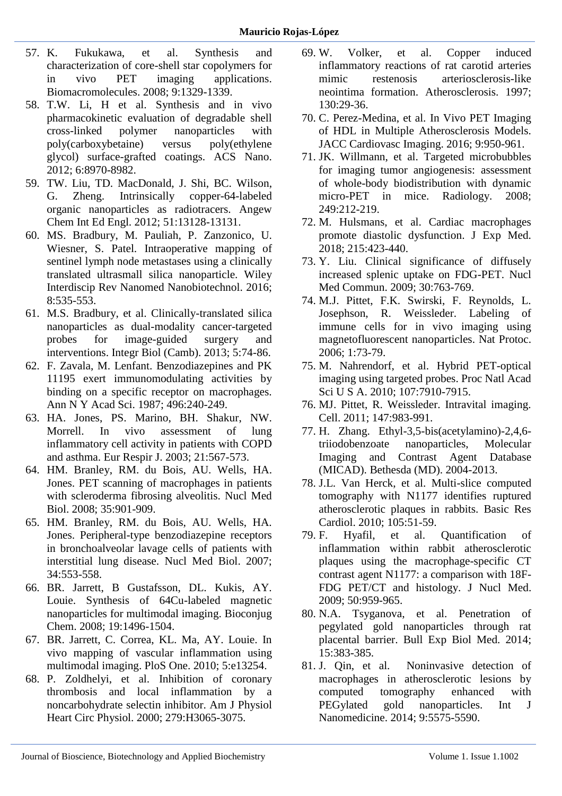- 57. [K. Fukukawa, et al. Synthesis and](https://pubs.acs.org/doi/10.1021/bm7014152)  [characterization of core-shell star copolymers for](https://pubs.acs.org/doi/10.1021/bm7014152)  [in vivo PET imaging applications.](https://pubs.acs.org/doi/10.1021/bm7014152)  [Biomacromolecules. 2008; 9:1329-1339.](https://pubs.acs.org/doi/10.1021/bm7014152)
- 58. T.W. [Li, H et al. Synthesis and in vivo](https://pubs.acs.org/doi/abs/10.1021/nn303030t)  [pharmacokinetic evaluation of degradable shell](https://pubs.acs.org/doi/abs/10.1021/nn303030t)  [cross-linked polymer nanoparticles with](https://pubs.acs.org/doi/abs/10.1021/nn303030t)  [poly\(carboxybetaine\) versus poly\(ethylene](https://pubs.acs.org/doi/abs/10.1021/nn303030t)  [glycol\) surface-grafted coatings. ACS Nano.](https://pubs.acs.org/doi/abs/10.1021/nn303030t)  [2012; 6:8970-8982.](https://pubs.acs.org/doi/abs/10.1021/nn303030t)
- 59. [TW. Liu, TD. MacDonald, J. Shi, BC. Wilson,](https://www.ncbi.nlm.nih.gov/pubmed/23154923)  [G. Zheng. Intrinsically copper-64-labeled](https://www.ncbi.nlm.nih.gov/pubmed/23154923)  [organic nanoparticles as radiotracers. Angew](https://www.ncbi.nlm.nih.gov/pubmed/23154923)  [Chem Int Ed Engl. 2012; 51:13128-13131.](https://www.ncbi.nlm.nih.gov/pubmed/23154923)
- 60. [MS. Bradbury, M. Pauliah, P. Zanzonico, U.](https://www.ncbi.nlm.nih.gov/pubmed/26663853)  [Wiesner, S. Patel. Intraoperative mapping of](https://www.ncbi.nlm.nih.gov/pubmed/26663853)  [sentinel lymph node metastases using a clinically](https://www.ncbi.nlm.nih.gov/pubmed/26663853)  [translated ultrasmall silica nanoparticle. Wiley](https://www.ncbi.nlm.nih.gov/pubmed/26663853)  [Interdiscip Rev Nanomed Nanobiotechnol. 2016;](https://www.ncbi.nlm.nih.gov/pubmed/26663853)  [8:535-553.](https://www.ncbi.nlm.nih.gov/pubmed/26663853)
- 61. [M.S. Bradbury, et al. Clinically-translated silica](https://www.ncbi.nlm.nih.gov/pubmed/23138852)  [nanoparticles as dual-modality cancer-targeted](https://www.ncbi.nlm.nih.gov/pubmed/23138852)  [probes for image-guided surgery and](https://www.ncbi.nlm.nih.gov/pubmed/23138852)  [interventions. Integr Biol \(Camb\). 2013; 5:74-86.](https://www.ncbi.nlm.nih.gov/pubmed/23138852)
- 62. [F. Zavala, M. Lenfant. Benzodiazepines and PK](https://nyaspubs.onlinelibrary.wiley.com/doi/abs/10.1111/j.1749-6632.1987.tb35772.x?sid=nlm%3Apubmed)  [11195 exert immunomodulating activities by](https://nyaspubs.onlinelibrary.wiley.com/doi/abs/10.1111/j.1749-6632.1987.tb35772.x?sid=nlm%3Apubmed)  [binding on a specific receptor on macrophages.](https://nyaspubs.onlinelibrary.wiley.com/doi/abs/10.1111/j.1749-6632.1987.tb35772.x?sid=nlm%3Apubmed)  [Ann N Y Acad Sci. 1987; 496:240-249.](https://nyaspubs.onlinelibrary.wiley.com/doi/abs/10.1111/j.1749-6632.1987.tb35772.x?sid=nlm%3Apubmed)
- 63. HA. Jones, [PS. Marino, BH. Shakur, NW.](https://www.ncbi.nlm.nih.gov/pubmed/12762337)  [Morrell. In vivo assessment of lung](https://www.ncbi.nlm.nih.gov/pubmed/12762337)  [inflammatory cell activity in patients with COPD](https://www.ncbi.nlm.nih.gov/pubmed/12762337)  [and asthma. Eur Respir J. 2003; 21:567-573.](https://www.ncbi.nlm.nih.gov/pubmed/12762337)
- 64. [HM. Branley, RM. du Bois, AU. Wells, HA.](https://www.ncbi.nlm.nih.gov/pubmed/19026952)  [Jones. PET scanning of macrophages in patients](https://www.ncbi.nlm.nih.gov/pubmed/19026952)  [with scleroderma fibrosing alveolitis. Nucl Med](https://www.ncbi.nlm.nih.gov/pubmed/19026952)  [Biol. 2008; 35:901-909.](https://www.ncbi.nlm.nih.gov/pubmed/19026952)
- 65. [HM. Branley, RM. du Bois, AU. Wells, HA.](https://www.ncbi.nlm.nih.gov/pubmed/17591555)  [Jones. Peripheral-type benzodiazepine receptors](https://www.ncbi.nlm.nih.gov/pubmed/17591555)  [in bronchoalveolar lavage cells of patients with](https://www.ncbi.nlm.nih.gov/pubmed/17591555)  [interstitial lung disease. Nucl Med Biol. 2007;](https://www.ncbi.nlm.nih.gov/pubmed/17591555)  [34:553-558.](https://www.ncbi.nlm.nih.gov/pubmed/17591555)
- 66. [BR. Jarrett, B Gustafsson, DL. Kukis, AY.](https://www.ncbi.nlm.nih.gov/pmc/articles/PMC2543939/)  [Louie. Synthesis of 64Cu-labeled magnetic](https://www.ncbi.nlm.nih.gov/pmc/articles/PMC2543939/)  [nanoparticles for multimodal imaging. Bioconjug](https://www.ncbi.nlm.nih.gov/pmc/articles/PMC2543939/)  [Chem. 2008; 19:1496-1504.](https://www.ncbi.nlm.nih.gov/pmc/articles/PMC2543939/)
- 67. [BR. Jarrett, C. Correa, KL. Ma, AY. Louie. In](https://journals.plos.org/plosone/article?id=10.1371/journal.pone.0013254)  [vivo mapping of vascular inflammation using](https://journals.plos.org/plosone/article?id=10.1371/journal.pone.0013254)  [multimodal imaging. PloS One. 2010; 5:e13254.](https://journals.plos.org/plosone/article?id=10.1371/journal.pone.0013254)
- 68. [P. Zoldhelyi, et al. Inhibition of coronary](https://www.ncbi.nlm.nih.gov/pubmed/11087265)  [thrombosis and local inflammation by a](https://www.ncbi.nlm.nih.gov/pubmed/11087265)  [noncarbohydrate selectin inhibitor. Am J Physiol](https://www.ncbi.nlm.nih.gov/pubmed/11087265)  [Heart Circ Physiol. 2000; 279:H3065-3075.](https://www.ncbi.nlm.nih.gov/pubmed/11087265)
- 69. [W. Volker, et al. Copper induced](https://www.ncbi.nlm.nih.gov/pubmed/9126645)  [inflammatory reactions of rat carotid arteries](https://www.ncbi.nlm.nih.gov/pubmed/9126645)  [mimic restenosis arteriosclerosis-like](https://www.ncbi.nlm.nih.gov/pubmed/9126645)  [neointima formation. Atherosclerosis. 1997;](https://www.ncbi.nlm.nih.gov/pubmed/9126645)  [130:29-36.](https://www.ncbi.nlm.nih.gov/pubmed/9126645)
- 70. [C. Perez-Medina, et al. In Vivo PET Imaging](https://www.ncbi.nlm.nih.gov/pubmed/27236528)  [of HDL in Multiple Atherosclerosis Models.](https://www.ncbi.nlm.nih.gov/pubmed/27236528)  [JACC Cardiovasc Imaging. 2016; 9:950-961.](https://www.ncbi.nlm.nih.gov/pubmed/27236528)
- 71. [JK. Willmann, et al. Targeted microbubbles](https://www.ncbi.nlm.nih.gov/pubmed/18695212)  [for imaging tumor angiogenesis: assessment](https://www.ncbi.nlm.nih.gov/pubmed/18695212)  [of whole-body biodistribution with dynamic](https://www.ncbi.nlm.nih.gov/pubmed/18695212)  [micro-PET in mice. Radiology. 2008;](https://www.ncbi.nlm.nih.gov/pubmed/18695212)  [249:212-219.](https://www.ncbi.nlm.nih.gov/pubmed/18695212)
- 72. [M. Hulsmans, et al. Cardiac macrophages](http://jem.rupress.org/content/215/2/423)  [promote diastolic dysfunction. J Exp Med.](http://jem.rupress.org/content/215/2/423)  [2018; 215:423-440.](http://jem.rupress.org/content/215/2/423)
- 73. [Y. Liu. Clinical significance of diffusely](https://www.ncbi.nlm.nih.gov/pubmed/19654562)  [increased splenic uptake on FDG-PET. Nucl](https://www.ncbi.nlm.nih.gov/pubmed/19654562)  [Med Commun. 2009; 30:763-769.](https://www.ncbi.nlm.nih.gov/pubmed/19654562)
- 74. [M.J. Pittet, F.K. Swirski, F. Reynolds, L.](https://www.ncbi.nlm.nih.gov/pubmed/17406214)  [Josephson, R. Weissleder. Labeling of](https://www.ncbi.nlm.nih.gov/pubmed/17406214)  [immune cells for in vivo imaging using](https://www.ncbi.nlm.nih.gov/pubmed/17406214)  [magnetofluorescent nanoparticles. Nat Protoc.](https://www.ncbi.nlm.nih.gov/pubmed/17406214)  [2006; 1:73-79.](https://www.ncbi.nlm.nih.gov/pubmed/17406214)
- 75. [M. Nahrendorf, et al. Hybrid PET-optical](https://www.ncbi.nlm.nih.gov/pmc/articles/PMC2867879/)  [imaging using targeted probes. Proc Natl Acad](https://www.ncbi.nlm.nih.gov/pmc/articles/PMC2867879/)  [Sci U S A. 2010; 107:7910-7915.](https://www.ncbi.nlm.nih.gov/pmc/articles/PMC2867879/)
- 76. [MJ. Pittet, R. Weissleder. Intravital imaging.](https://www.ncbi.nlm.nih.gov/pubmed/22118457)  [Cell. 2011; 147:983-991.](https://www.ncbi.nlm.nih.gov/pubmed/22118457)
- 77. [H. Zhang. Ethyl-3,5-bis\(acetylamino\)-2,4,6](https://www.ncbi.nlm.nih.gov/books/NBK25585/) [triiodobenzoate nanoparticles, Molecular](https://www.ncbi.nlm.nih.gov/books/NBK25585/)  [Imaging and Contrast Agent Database](https://www.ncbi.nlm.nih.gov/books/NBK25585/)  [\(MICAD\). Bethesda \(MD\). 2004-2013.](https://www.ncbi.nlm.nih.gov/books/NBK25585/)
- 78. [J.L. Van Herck, et al. Multi-slice computed](https://www.ncbi.nlm.nih.gov/pubmed/19693628)  [tomography with N1177 identifies ruptured](https://www.ncbi.nlm.nih.gov/pubmed/19693628)  [atherosclerotic plaques in rabbits. Basic Res](https://www.ncbi.nlm.nih.gov/pubmed/19693628)  [Cardiol. 2010; 105:51-59.](https://www.ncbi.nlm.nih.gov/pubmed/19693628)
- 79. [F. Hyafil, et al. Quantification of](https://www.ncbi.nlm.nih.gov/pubmed/19443582)  [inflammation within rabbit atherosclerotic](https://www.ncbi.nlm.nih.gov/pubmed/19443582)  [plaques using the macrophage-specific CT](https://www.ncbi.nlm.nih.gov/pubmed/19443582)  [contrast agent N1177: a comparison with 18F-](https://www.ncbi.nlm.nih.gov/pubmed/19443582)[FDG PET/CT and histology. J Nucl Med.](https://www.ncbi.nlm.nih.gov/pubmed/19443582)  [2009; 50:959-965.](https://www.ncbi.nlm.nih.gov/pubmed/19443582)
- 80. [N.A. Tsyganova, et al. Penetration of](https://www.ncbi.nlm.nih.gov/pubmed/25065320)  [pegylated gold nanoparticles through rat](https://www.ncbi.nlm.nih.gov/pubmed/25065320)  [placental barrier. Bull Exp Biol Med. 2014;](https://www.ncbi.nlm.nih.gov/pubmed/25065320)  [15:383-385.](https://www.ncbi.nlm.nih.gov/pubmed/25065320)
- 81. [J. Qin, et al. Noninvasive detection of](https://www.ncbi.nlm.nih.gov/pubmed/25506213)  [macrophages in atherosclerotic lesions by](https://www.ncbi.nlm.nih.gov/pubmed/25506213)  [computed tomography enhanced with](https://www.ncbi.nlm.nih.gov/pubmed/25506213)  [PEGylated gold nanoparticles. Int J](https://www.ncbi.nlm.nih.gov/pubmed/25506213)  [Nanomedicine. 2014; 9:5575-5590.](https://www.ncbi.nlm.nih.gov/pubmed/25506213)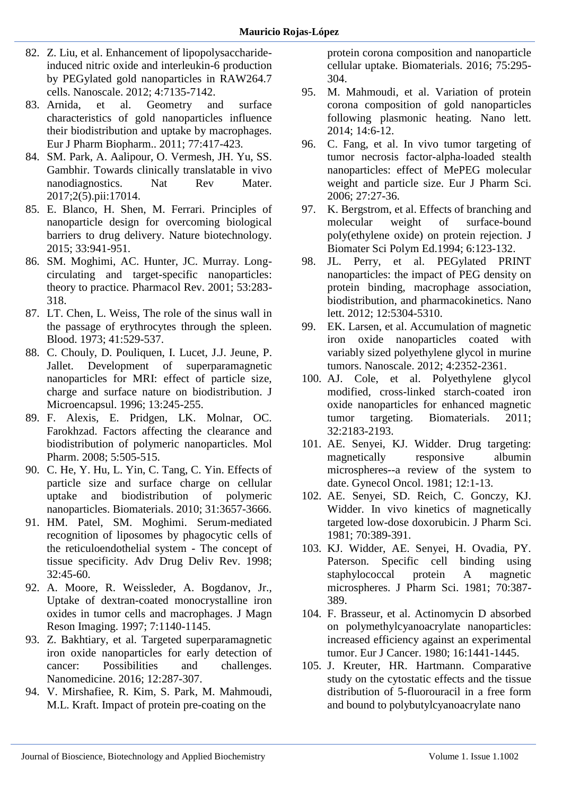- 82. [Z. Liu, et al. Enhancement of lipopolysaccharide](https://www.ncbi.nlm.nih.gov/pubmed/23070238)[induced nitric oxide and interleukin-6 production](https://www.ncbi.nlm.nih.gov/pubmed/23070238)  [by PEGylated gold nanoparticles in RAW264.7](https://www.ncbi.nlm.nih.gov/pubmed/23070238)  [cells. Nanoscale. 2012; 4:7135-7142.](https://www.ncbi.nlm.nih.gov/pubmed/23070238)
- 83. [Arnida, et al. Geometry and surface](https://www.ncbi.nlm.nih.gov/pubmed/21093587)  [characteristics of gold nanoparticles influence](https://www.ncbi.nlm.nih.gov/pubmed/21093587)  [their biodistribution and uptake by macrophages.](https://www.ncbi.nlm.nih.gov/pubmed/21093587)  [Eur J Pharm Biopharm.. 2011; 77:417-423.](https://www.ncbi.nlm.nih.gov/pubmed/21093587)
- 84. [SM. Park, A. Aalipour, O. Vermesh, JH. Yu, SS.](https://www.ncbi.nlm.nih.gov/pubmed/29876137)  [Gambhir. Towards clinically translatable in vivo](https://www.ncbi.nlm.nih.gov/pubmed/29876137)  nanodiagnostics. Nat Rev Mater. [2017;2\(5\).pii:17014.](https://www.ncbi.nlm.nih.gov/pubmed/29876137)
- 85. [E. Blanco, H. Shen, M. Ferrari. Principles of](https://www.ncbi.nlm.nih.gov/pubmed/26348965)  [nanoparticle design for overcoming biological](https://www.ncbi.nlm.nih.gov/pubmed/26348965)  [barriers to drug delivery. Nature biotechnology.](https://www.ncbi.nlm.nih.gov/pubmed/26348965)  [2015; 33:941-951.](https://www.ncbi.nlm.nih.gov/pubmed/26348965)
- 86. [SM. Moghimi, AC. Hunter, JC. Murray. Long](https://www.ncbi.nlm.nih.gov/pubmed/11356986)[circulating and target-specific nanoparticles:](https://www.ncbi.nlm.nih.gov/pubmed/11356986)  [theory to practice. Pharmacol Rev. 2001; 53:283-](https://www.ncbi.nlm.nih.gov/pubmed/11356986) [318.](https://www.ncbi.nlm.nih.gov/pubmed/11356986)
- 87. [LT. Chen, L. Weiss, The role of the sinus wall in](http://www.bloodjournal.org/content/41/4/529.long?sso-checked=true)  [the passage of erythrocytes through the spleen.](http://www.bloodjournal.org/content/41/4/529.long?sso-checked=true)  [Blood. 1973; 41:529-537.](http://www.bloodjournal.org/content/41/4/529.long?sso-checked=true)
- 88. [C. Chouly, D. Pouliquen, I. Lucet, J.J. Jeune, P.](https://www.ncbi.nlm.nih.gov/pubmed/8860681)  [Jallet. Development of superparamagnetic](https://www.ncbi.nlm.nih.gov/pubmed/8860681)  [nanoparticles for MRI: effect of particle size,](https://www.ncbi.nlm.nih.gov/pubmed/8860681)  [charge and surface nature on biodistribution. J](https://www.ncbi.nlm.nih.gov/pubmed/8860681)  [Microencapsul. 1996; 13:245-255.](https://www.ncbi.nlm.nih.gov/pubmed/8860681)
- 89. [F. Alexis, E. Pridgen, LK. Molnar, OC.](https://www.ncbi.nlm.nih.gov/pubmed/18672949)  [Farokhzad. Factors affecting the clearance and](https://www.ncbi.nlm.nih.gov/pubmed/18672949)  [biodistribution of polymeric nanoparticles. Mol](https://www.ncbi.nlm.nih.gov/pubmed/18672949)  [Pharm. 2008; 5:505-515.](https://www.ncbi.nlm.nih.gov/pubmed/18672949)
- 90. [C. He, Y. Hu, L. Yin, C. Tang, C. Yin. Effects of](https://www.sciencedirect.com/science/article/pii/S0142961210000979)  [particle size and surface charge on cellular](https://www.sciencedirect.com/science/article/pii/S0142961210000979)  [uptake and biodistribution of polymeric](https://www.sciencedirect.com/science/article/pii/S0142961210000979)  [nanoparticles. Biomaterials. 2010; 31:3657-3666.](https://www.sciencedirect.com/science/article/pii/S0142961210000979)
- 91. [HM. Patel, SM. Moghimi. Serum-mediated](https://www.ncbi.nlm.nih.gov/pubmed/10837635)  [recognition of liposomes by phagocytic cells of](https://www.ncbi.nlm.nih.gov/pubmed/10837635)  [the reticuloendothelial system -](https://www.ncbi.nlm.nih.gov/pubmed/10837635) The concept of [tissue specificity. Adv Drug Deliv Rev. 1998;](https://www.ncbi.nlm.nih.gov/pubmed/10837635)  [32:45-60.](https://www.ncbi.nlm.nih.gov/pubmed/10837635)
- 92. A. [Moore, R. Weissleder, A. Bogdanov, Jr.,](https://onlinelibrary.wiley.com/doi/abs/10.1002/jmri.1880070629)  [Uptake of dextran-coated monocrystalline iron](https://onlinelibrary.wiley.com/doi/abs/10.1002/jmri.1880070629)  [oxides in tumor cells and macrophages. J Magn](https://onlinelibrary.wiley.com/doi/abs/10.1002/jmri.1880070629)  [Reson Imaging. 1997; 7:1140-1145.](https://onlinelibrary.wiley.com/doi/abs/10.1002/jmri.1880070629)
- 93. [Z. Bakhtiary, et al. Targeted superparamagnetic](https://www.ncbi.nlm.nih.gov/pubmed/26707817)  [iron oxide nanoparticles for early detection of](https://www.ncbi.nlm.nih.gov/pubmed/26707817)  [cancer: Possibilities and challenges.](https://www.ncbi.nlm.nih.gov/pubmed/26707817)  [Nanomedicine. 2016; 12:287-307.](https://www.ncbi.nlm.nih.gov/pubmed/26707817)
- 94. [V. Mirshafiee, R. Kim, S. Park, M. Mahmoudi,](https://www.sciencedirect.com/science/article/pii/S0142961215008236)  [M.L. Kraft. Impact of protein pre-coating on the](https://www.sciencedirect.com/science/article/pii/S0142961215008236)

[protein corona composition and nanoparticle](https://www.sciencedirect.com/science/article/pii/S0142961215008236)  [cellular uptake. Biomaterials. 2016; 75:295-](https://www.sciencedirect.com/science/article/pii/S0142961215008236) [304.](https://www.sciencedirect.com/science/article/pii/S0142961215008236)

- 95. [M. Mahmoudi, et al. Variation of protein](https://www.ncbi.nlm.nih.gov/pubmed/24328336)  [corona composition of gold nanoparticles](https://www.ncbi.nlm.nih.gov/pubmed/24328336)  [following plasmonic heating. Nano lett.](https://www.ncbi.nlm.nih.gov/pubmed/24328336)  [2014; 14:6-12.](https://www.ncbi.nlm.nih.gov/pubmed/24328336)
- 96. [C. Fang, et al. In vivo tumor targeting of](https://www.ncbi.nlm.nih.gov/pubmed/16150582)  [tumor necrosis factor-alpha-loaded stealth](https://www.ncbi.nlm.nih.gov/pubmed/16150582)  [nanoparticles: effect of MePEG molecular](https://www.ncbi.nlm.nih.gov/pubmed/16150582)  [weight and particle size. Eur J Pharm Sci.](https://www.ncbi.nlm.nih.gov/pubmed/16150582)  [2006; 27:27-36.](https://www.ncbi.nlm.nih.gov/pubmed/16150582)
- 97. [K. Bergstrom, et al. Effects of branching and](https://www.ncbi.nlm.nih.gov/pubmed/7947478)  [molecular weight of surface-bound](https://www.ncbi.nlm.nih.gov/pubmed/7947478)  [poly\(ethylene oxide\) on protein rejection. J](https://www.ncbi.nlm.nih.gov/pubmed/7947478)  [Biomater Sci Polym Ed.1994; 6:123-132.](https://www.ncbi.nlm.nih.gov/pubmed/7947478)
- 98. [JL. Perry, et al. PEGylated PRINT](https://www.ncbi.nlm.nih.gov/pmc/articles/PMC4157665/)  [nanoparticles: the impact of PEG density on](https://www.ncbi.nlm.nih.gov/pmc/articles/PMC4157665/)  [protein binding, macrophage association,](https://www.ncbi.nlm.nih.gov/pmc/articles/PMC4157665/)  [biodistribution, and pharmacokinetics. Nano](https://www.ncbi.nlm.nih.gov/pmc/articles/PMC4157665/)  [lett. 2012; 12:5304-5310.](https://www.ncbi.nlm.nih.gov/pmc/articles/PMC4157665/)
- 99. [EK. Larsen, et al. Accumulation of magnetic](https://www.ncbi.nlm.nih.gov/pubmed/22395568)  [iron oxide nanoparticles coated with](https://www.ncbi.nlm.nih.gov/pubmed/22395568)  [variably sized polyethylene glycol in murine](https://www.ncbi.nlm.nih.gov/pubmed/22395568)  [tumors. Nanoscale. 2012; 4:2352-2361.](https://www.ncbi.nlm.nih.gov/pubmed/22395568)
- 100. [AJ. Cole, et al. Polyethylene glycol](https://www.ncbi.nlm.nih.gov/pubmed/21176955)  [modified, cross-linked starch-coated iron](https://www.ncbi.nlm.nih.gov/pubmed/21176955)  [oxide nanoparticles for enhanced magnetic](https://www.ncbi.nlm.nih.gov/pubmed/21176955)  [tumor targeting. Biomaterials. 2011;](https://www.ncbi.nlm.nih.gov/pubmed/21176955)  [32:2183-2193.](https://www.ncbi.nlm.nih.gov/pubmed/21176955)
- 101. [AE. Senyei, KJ. Widder. Drug targeting:](https://www.ncbi.nlm.nih.gov/pubmed/7024051)  [magnetically responsive albumin](https://www.ncbi.nlm.nih.gov/pubmed/7024051)  [microspheres--a review of the system to](https://www.ncbi.nlm.nih.gov/pubmed/7024051)  [date. Gynecol Oncol. 1981; 12:1-13.](https://www.ncbi.nlm.nih.gov/pubmed/7024051)
- 102. [AE. Senyei, SD. Reich, C. Gonczy, KJ.](https://www.jpharmsci.org/article/S0022-3549(15)43650-0/fulltext)  [Widder. In vivo kinetics of magnetically](https://www.jpharmsci.org/article/S0022-3549(15)43650-0/fulltext)  [targeted low-dose doxorubicin. J Pharm Sci.](https://www.jpharmsci.org/article/S0022-3549(15)43650-0/fulltext)  [1981; 70:389-391.](https://www.jpharmsci.org/article/S0022-3549(15)43650-0/fulltext)
- 103. [KJ. Widder, AE. Senyei, H. Ovadia, PY.](https://www.ncbi.nlm.nih.gov/pubmed/7229948)  [Paterson. Specific cell binding using](https://www.ncbi.nlm.nih.gov/pubmed/7229948)  [staphylococcal protein A magnetic](https://www.ncbi.nlm.nih.gov/pubmed/7229948)  [microspheres. J Pharm Sci. 1981; 70:387-](https://www.ncbi.nlm.nih.gov/pubmed/7229948) [389.](https://www.ncbi.nlm.nih.gov/pubmed/7229948)
- 104. [F. Brasseur, et al. Actinomycin D absorbed](https://www.ejcancer.com/article/0014-2964(80)90053-5/fulltext)  [on polymethylcyanoacrylate nanoparticles:](https://www.ejcancer.com/article/0014-2964(80)90053-5/fulltext)  [increased efficiency against an experimental](https://www.ejcancer.com/article/0014-2964(80)90053-5/fulltext)  [tumor. Eur J Cancer. 1980; 16:1441-1445.](https://www.ejcancer.com/article/0014-2964(80)90053-5/fulltext)
- 105. [J. Kreuter, HR. Hartmann. Comparative](https://www.ncbi.nlm.nih.gov/pubmed/6684746)  [study on the cytostatic effects and the tissue](https://www.ncbi.nlm.nih.gov/pubmed/6684746)  [distribution of 5-fluorouracil in a free form](https://www.ncbi.nlm.nih.gov/pubmed/6684746)  [and bound to polybutylcyanoacrylate](https://www.ncbi.nlm.nih.gov/pubmed/6684746) nano